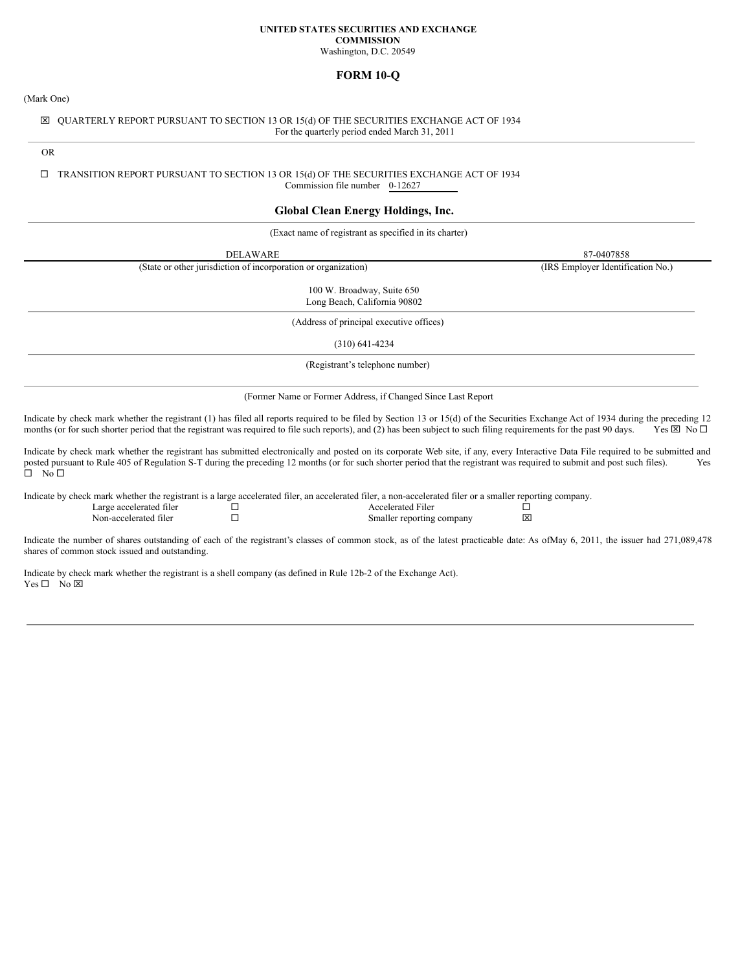#### **UNITED STATES SECURITIES AND EXCHANGE COMMISSION**

Washington, D.C. 20549

# **FORM 10-Q**

(Mark One)

# x QUARTERLY REPORT PURSUANT TO SECTION 13 OR 15(d) OF THE SECURITIES EXCHANGE ACT OF 1934 For the quarterly period ended March 31, 2011

OR

#### $\square$  TRANSITION REPORT PURSUANT TO SECTION 13 OR 15(d) OF THE SECURITIES EXCHANGE ACT OF 1934 Commission file number 0-12627

# **Global Clean Energy Holdings, Inc.**

(Exact name of registrant as specified in its charter)

DELAWARE 87-0407858

(State or other jurisdiction of incorporation or organization) (IRS Employer Identification No.)

100 W. Broadway, Suite 650 Long Beach, California 90802

(Address of principal executive offices)

(310) 641-4234

(Registrant's telephone number)

(Former Name or Former Address, if Changed Since Last Report

Indicate by check mark whether the registrant (1) has filed all reports required to be filed by Section 13 or 15(d) of the Securities Exchange Act of 1934 during the preceding 12 months (or for such shorter period that the registrant was required to file such reports), and (2) has been subject to such filing requirements for the past 90 days. Yes  $\boxtimes$  No  $\Box$ 

Indicate by check mark whether the registrant has submitted electronically and posted on its corporate Web site, if any, every Interactive Data File required to be submitted and posted pursuant to Rule 405 of Regulation S-T during the preceding 12 months (or for such shorter period that the registrant was required to submit and post such files). Yes  $\overline{\square}$  No  $\overline{\square}$ 

Indicate by check mark whether the registrant is a large accelerated filer, an accelerated filer, a non-accelerated filer or a smaller reporting company.

Large accelerated filer ¨ Accelerated Filer ¨ Smaller reporting company

Indicate the number of shares outstanding of each of the registrant's classes of common stock, as of the latest practicable date: As ofMay 6, 2011, the issuer had 271,089,478 shares of common stock issued and outstanding.

Indicate by check mark whether the registrant is a shell company (as defined in Rule 12b-2 of the Exchange Act).  $Yes \Box$  No  $\overline{X}$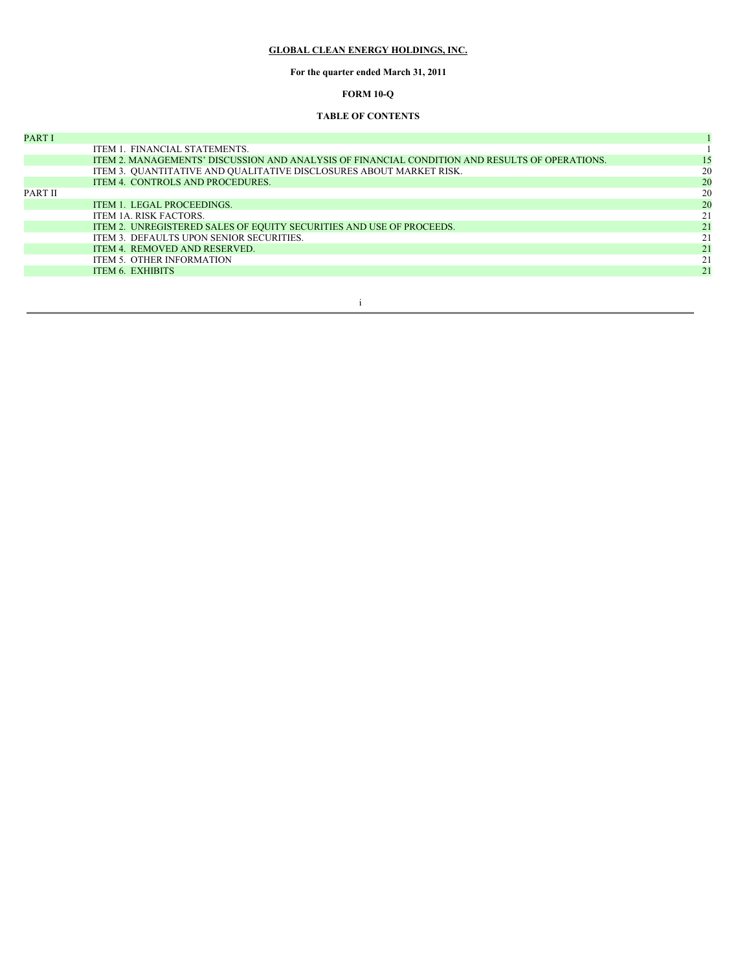# **GLOBAL CLEAN ENERGY HOLDINGS, INC.**

# **For the quarter ended March 31, 2011**

# **FORM 10-Q**

# **TABLE OF CONTENTS**

| <b>PART I</b> |                                                                                                |    |
|---------------|------------------------------------------------------------------------------------------------|----|
|               | ITEM 1. FINANCIAL STATEMENTS.                                                                  |    |
|               | ITEM 2. MANAGEMENTS' DISCUSSION AND ANALYSIS OF FINANCIAL CONDITION AND RESULTS OF OPERATIONS. | 15 |
|               | ITEM 3. QUANTITATIVE AND QUALITATIVE DISCLOSURES ABOUT MARKET RISK.                            | 20 |
|               | ITEM 4. CONTROLS AND PROCEDURES.                                                               | 20 |
| PART II       |                                                                                                | 20 |
|               | ITEM 1. LEGAL PROCEEDINGS.                                                                     | 20 |
|               | ITEM 1A. RISK FACTORS.                                                                         | 21 |
|               | ITEM 2. UNREGISTERED SALES OF EQUITY SECURITIES AND USE OF PROCEEDS.                           | 21 |
|               | ITEM 3. DEFAULTS UPON SENIOR SECURITIES.                                                       | 21 |
|               | ITEM 4. REMOVED AND RESERVED.                                                                  | 21 |
|               | <b>ITEM 5. OTHER INFORMATION</b>                                                               | 21 |
|               | <b>ITEM 6. EXHIBITS</b>                                                                        | 21 |

i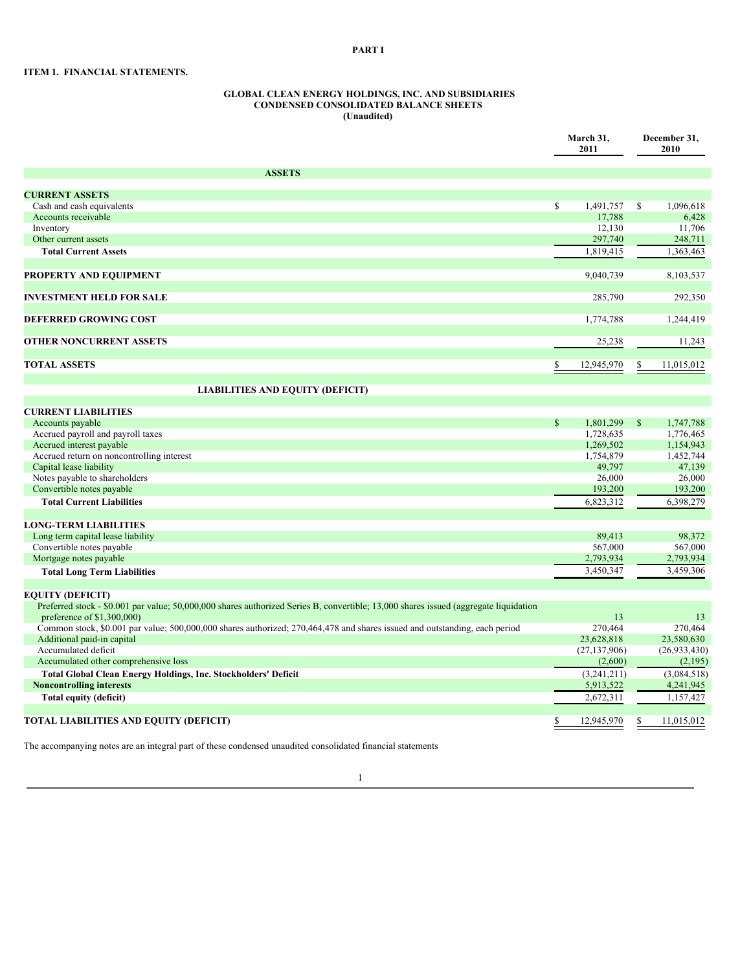# **PART I**

# **ITEM 1. FINANCIAL STATEMENTS.**

#### **GLOBAL CLEAN ENERGY HOLDINGS, INC. AND SUBSIDIARIES CONDENSED CONSOLIDATED BALANCE SHEETS (Unaudited)**

|                                                                                                                                                                    |              | March 31,<br>2011 |              | December 31,<br>2010 |  |
|--------------------------------------------------------------------------------------------------------------------------------------------------------------------|--------------|-------------------|--------------|----------------------|--|
| <b>ASSETS</b>                                                                                                                                                      |              |                   |              |                      |  |
| <b>CURRENT ASSETS</b>                                                                                                                                              |              |                   |              |                      |  |
| Cash and cash equivalents                                                                                                                                          | \$           | 1,491,757         | \$           | 1.096.618            |  |
| Accounts receivable                                                                                                                                                |              | 17.788            |              | 6.428                |  |
| Inventory                                                                                                                                                          |              | 12,130            |              | 11,706               |  |
| Other current assets                                                                                                                                               |              | 297,740           |              | 248,711              |  |
| <b>Total Current Assets</b>                                                                                                                                        |              | 1,819,415         |              | 1,363,463            |  |
|                                                                                                                                                                    |              |                   |              |                      |  |
| PROPERTY AND EQUIPMENT                                                                                                                                             |              | 9,040,739         |              | 8,103,537            |  |
| <b>INVESTMENT HELD FOR SALE</b>                                                                                                                                    |              | 285,790           |              | 292,350              |  |
| DEFERRED GROWING COST                                                                                                                                              |              | 1,774,788         |              | 1,244,419            |  |
| <b>OTHER NONCURRENT ASSETS</b>                                                                                                                                     |              | 25,238            |              | 11,243               |  |
|                                                                                                                                                                    |              |                   |              |                      |  |
| <b>TOTAL ASSETS</b>                                                                                                                                                |              | 12,945,970        |              | 11,015,012           |  |
| <b>LIABILITIES AND EQUITY (DEFICIT)</b>                                                                                                                            |              |                   |              |                      |  |
| <b>CURRENT LIABILITIES</b>                                                                                                                                         |              |                   |              |                      |  |
| Accounts payable                                                                                                                                                   | $\mathbb{S}$ | 1,801,299         | $\mathbb{S}$ | 1.747.788            |  |
| Accrued payroll and payroll taxes                                                                                                                                  |              | 1,728,635         |              | 1,776,465            |  |
| Accrued interest payable                                                                                                                                           |              | 1,269,502         |              | 1,154,943            |  |
| Accrued return on noncontrolling interest                                                                                                                          |              | 1,754,879         |              | 1,452,744            |  |
| Capital lease liability                                                                                                                                            |              | 49,797            |              | 47,139               |  |
| Notes payable to shareholders                                                                                                                                      |              | 26,000            |              | 26,000               |  |
| Convertible notes payable                                                                                                                                          |              | 193,200           |              | 193,200              |  |
| <b>Total Current Liabilities</b>                                                                                                                                   |              | 6,823,312         |              | 6,398,279            |  |
| <b>LONG-TERM LIABILITIES</b>                                                                                                                                       |              |                   |              |                      |  |
| Long term capital lease liability                                                                                                                                  |              | 89,413            |              | 98,372               |  |
| Convertible notes payable                                                                                                                                          |              | 567,000           |              | 567,000              |  |
| Mortgage notes payable                                                                                                                                             |              | 2,793,934         |              | 2,793,934            |  |
| <b>Total Long Term Liabilities</b>                                                                                                                                 |              | 3,450,347         |              | 3,459,306            |  |
| <b>EQUITY (DEFICIT)</b>                                                                                                                                            |              |                   |              |                      |  |
| Preferred stock - \$0.001 par value; 50,000,000 shares authorized Series B, convertible; 13,000 shares issued (aggregate liquidation<br>preference of \$1,300,000) |              | 13                |              | 13                   |  |
| Common stock, \$0.001 par value; 500,000,000 shares authorized; 270,464,478 and shares issued and outstanding, each period                                         |              | 270,464           |              | 270,464              |  |
| Additional paid-in capital                                                                                                                                         |              | 23,628,818        |              | 23,580,630           |  |
| Accumulated deficit                                                                                                                                                |              | (27, 137, 906)    |              | (26, 933, 430)       |  |
| Accumulated other comprehensive loss                                                                                                                               |              | (2,600)           |              | (2,195)              |  |
| Total Global Clean Energy Holdings, Inc. Stockholders' Deficit                                                                                                     |              | (3,241,211)       |              | (3,084,518)          |  |
| <b>Noncontrolling interests</b>                                                                                                                                    |              | 5,913,522         |              | 4,241,945            |  |
| Total equity (deficit)                                                                                                                                             |              | 2,672,311         |              | 1,157,427            |  |
|                                                                                                                                                                    |              |                   |              |                      |  |
| <b>TOTAL LIABILITIES AND EQUITY (DEFICIT)</b>                                                                                                                      |              | 12,945,970        | \$           | 11,015,012           |  |

The accompanying notes are an integral part of these condensed unaudited consolidated financial statements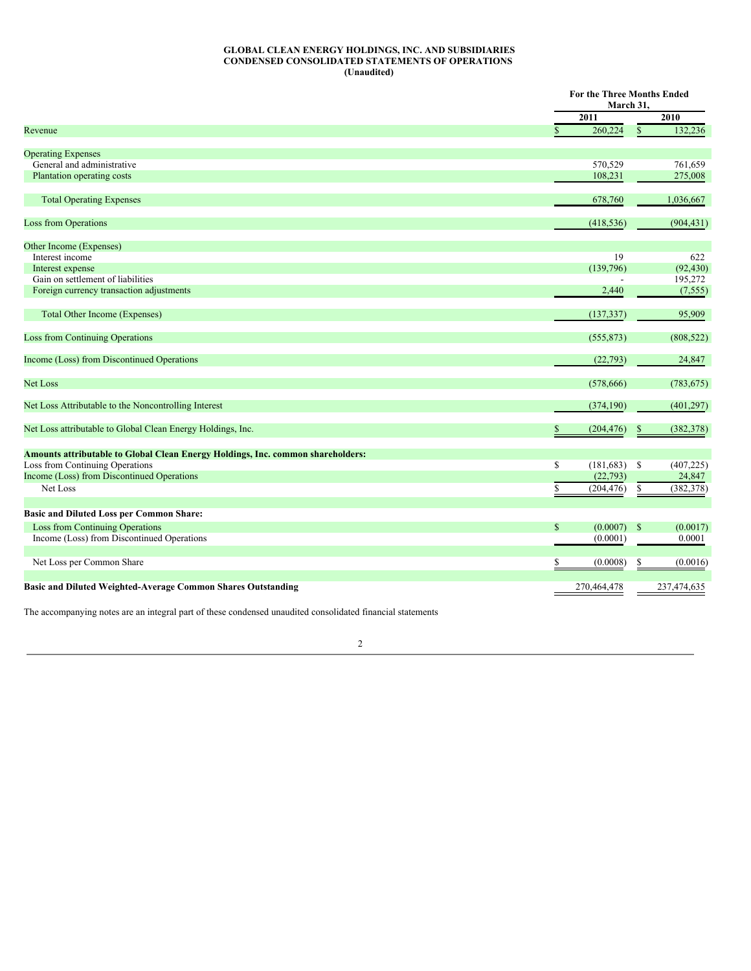#### **GLOBAL CLEAN ENERGY HOLDINGS, INC. AND SUBSIDIARIES CONDENSED CONSOLIDATED STATEMENTS OF OPERATIONS (Unaudited)**

|                                                                                        |              | <b>For the Three Months Ended</b> |              |             |  |
|----------------------------------------------------------------------------------------|--------------|-----------------------------------|--------------|-------------|--|
|                                                                                        |              | March 31,                         |              |             |  |
|                                                                                        |              | 2011                              |              | 2010        |  |
| Revenue                                                                                | $\mathbf{s}$ | 260,224                           | $\mathbb{S}$ | 132,236     |  |
| <b>Operating Expenses</b>                                                              |              |                                   |              |             |  |
| General and administrative                                                             |              | 570,529                           |              | 761,659     |  |
| Plantation operating costs                                                             |              | 108,231                           |              | 275,008     |  |
| <b>Total Operating Expenses</b>                                                        |              | 678,760                           |              | 1,036,667   |  |
| <b>Loss from Operations</b>                                                            |              | (418, 536)                        |              | (904, 431)  |  |
| Other Income (Expenses)                                                                |              |                                   |              |             |  |
| Interest income                                                                        |              | 19                                |              | 622         |  |
| Interest expense                                                                       |              | (139,796)                         |              | (92, 430)   |  |
| Gain on settlement of liabilities                                                      |              |                                   |              | 195,272     |  |
| Foreign currency transaction adjustments                                               |              | 2,440                             |              | (7, 555)    |  |
| <b>Total Other Income (Expenses)</b>                                                   |              | (137, 337)                        |              | 95,909      |  |
| <b>Loss from Continuing Operations</b>                                                 |              | (555, 873)                        |              | (808, 522)  |  |
| Income (Loss) from Discontinued Operations                                             |              | (22, 793)                         |              | 24,847      |  |
| <b>Net Loss</b>                                                                        |              | (578, 666)                        |              | (783, 675)  |  |
| Net Loss Attributable to the Noncontrolling Interest                                   |              | (374, 190)                        |              | (401, 297)  |  |
| Net Loss attributable to Global Clean Energy Holdings, Inc.                            | \$           | (204, 476)                        | \$           | (382, 378)  |  |
| <b>Amounts attributable to Global Clean Energy Holdings, Inc. common shareholders:</b> |              |                                   |              |             |  |
| Loss from Continuing Operations                                                        | \$           | (181, 683)                        | -S           | (407, 225)  |  |
| Income (Loss) from Discontinued Operations                                             |              | (22, 793)                         |              | 24,847      |  |
|                                                                                        |              |                                   |              |             |  |
| Net Loss                                                                               | \$           | (204, 476)                        | \$           | (382, 378)  |  |
| <b>Basic and Diluted Loss per Common Share:</b>                                        |              |                                   |              |             |  |
| <b>Loss from Continuing Operations</b>                                                 | $\mathbb{S}$ | (0.0007)                          | $\mathbb{S}$ | (0.0017)    |  |
| Income (Loss) from Discontinued Operations                                             |              | (0.0001)                          |              | 0.0001      |  |
| Net Loss per Common Share                                                              | S            | (0.0008)                          | \$           | (0.0016)    |  |
| Basic and Diluted Weighted-Average Common Shares Outstanding                           |              | 270,464,478                       |              | 237,474,635 |  |

The accompanying notes are an integral part of these condensed unaudited consolidated financial statements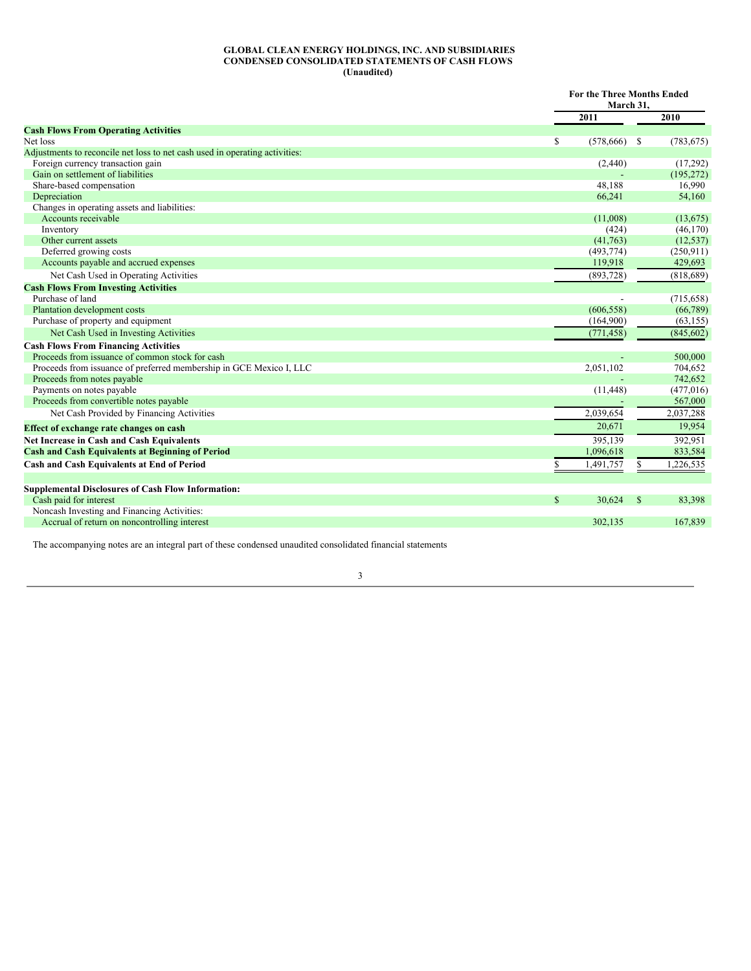#### **GLOBAL CLEAN ENERGY HOLDINGS, INC. AND SUBSIDIARIES CONDENSED CONSOLIDATED STATEMENTS OF CASH FLOWS (Unaudited)**

|                                                                             |                  | <b>For the Three Months Ended</b><br>March 31. |            |  |
|-----------------------------------------------------------------------------|------------------|------------------------------------------------|------------|--|
|                                                                             | 2011             |                                                | 2010       |  |
| <b>Cash Flows From Operating Activities</b>                                 |                  |                                                |            |  |
| Net loss                                                                    | \$<br>(578, 666) | - S                                            | (783, 675) |  |
| Adjustments to reconcile net loss to net cash used in operating activities: |                  |                                                |            |  |
| Foreign currency transaction gain                                           | (2,440)          |                                                | (17,292)   |  |
| Gain on settlement of liabilities                                           |                  |                                                | (195, 272) |  |
| Share-based compensation                                                    | 48,188           |                                                | 16,990     |  |
| Depreciation                                                                | 66,241           |                                                | 54,160     |  |
| Changes in operating assets and liabilities:                                |                  |                                                |            |  |
| Accounts receivable                                                         | (11,008)         |                                                | (13, 675)  |  |
| Inventory                                                                   | (424)            |                                                | (46, 170)  |  |
| Other current assets                                                        | (41,763)         |                                                | (12, 537)  |  |
| Deferred growing costs                                                      | (493, 774)       |                                                | (250, 911) |  |
| Accounts payable and accrued expenses                                       | 119,918          |                                                | 429,693    |  |
| Net Cash Used in Operating Activities                                       | (893, 728)       |                                                | (818, 689) |  |
| <b>Cash Flows From Investing Activities</b>                                 |                  |                                                |            |  |
| Purchase of land                                                            |                  |                                                | (715, 658) |  |
| Plantation development costs                                                | (606, 558)       |                                                | (66,789)   |  |
| Purchase of property and equipment                                          | (164,900)        |                                                | (63, 155)  |  |
| Net Cash Used in Investing Activities                                       | (771, 458)       |                                                | (845, 602) |  |
| <b>Cash Flows From Financing Activities</b>                                 |                  |                                                |            |  |
| Proceeds from issuance of common stock for cash                             |                  |                                                | 500,000    |  |
| Proceeds from issuance of preferred membership in GCE Mexico I, LLC         | 2,051,102        |                                                | 704,652    |  |
| Proceeds from notes payable                                                 |                  |                                                | 742,652    |  |
| Payments on notes payable                                                   | (11, 448)        |                                                | (477,016)  |  |
| Proceeds from convertible notes payable                                     |                  |                                                | 567,000    |  |
| Net Cash Provided by Financing Activities                                   | 2.039.654        |                                                | 2,037,288  |  |
| Effect of exchange rate changes on cash                                     | 20,671           |                                                | 19,954     |  |
| Net Increase in Cash and Cash Equivalents                                   | 395.139          |                                                | 392,951    |  |
| <b>Cash and Cash Equivalents at Beginning of Period</b>                     | 1,096,618        |                                                | 833,584    |  |
| <b>Cash and Cash Equivalents at End of Period</b>                           | 1,491,757        |                                                | 1,226,535  |  |
|                                                                             |                  |                                                |            |  |
| <b>Supplemental Disclosures of Cash Flow Information:</b>                   |                  |                                                |            |  |
| Cash paid for interest                                                      | \$<br>30,624     | $\mathbb{S}$                                   | 83,398     |  |
| Noncash Investing and Financing Activities:                                 |                  |                                                |            |  |
| Accrual of return on noncontrolling interest                                | 302.135          |                                                | 167,839    |  |

The accompanying notes are an integral part of these condensed unaudited consolidated financial statements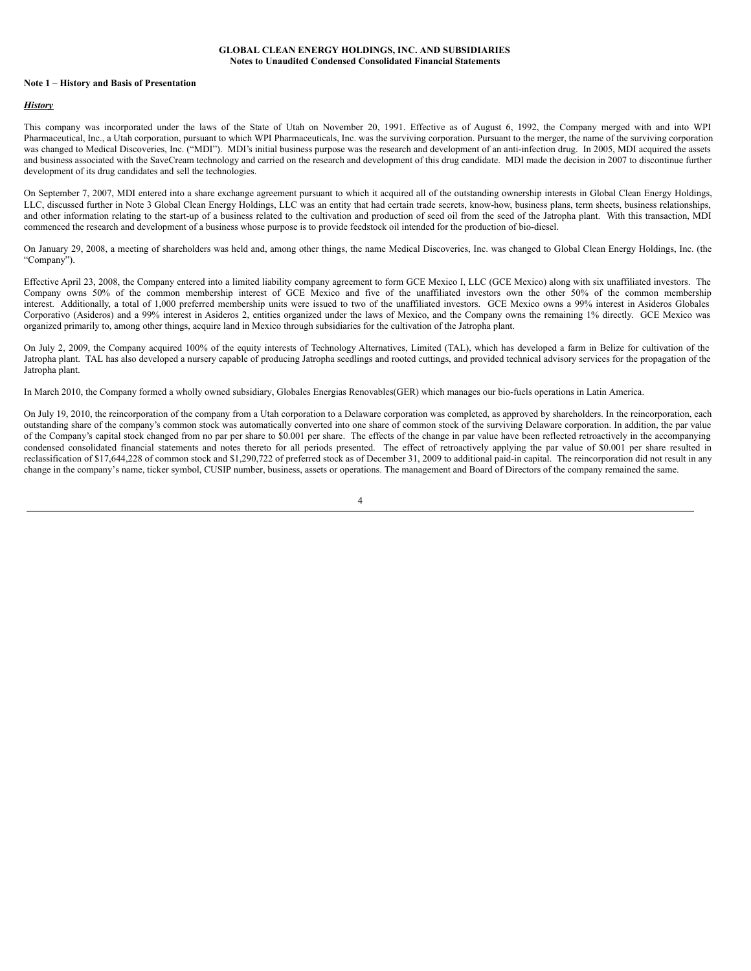#### **Note 1 – History and Basis of Presentation**

#### *History*

This company was incorporated under the laws of the State of Utah on November 20, 1991. Effective as of August 6, 1992, the Company merged with and into WPI Pharmaceutical, Inc., a Utah corporation, pursuant to which WPI Pharmaceuticals, Inc. was the surviving corporation. Pursuant to the merger, the name of the surviving corporation was changed to Medical Discoveries, Inc. ("MDI"). MDI's initial business purpose was the research and development of an anti-infection drug. In 2005, MDI acquired the assets and business associated with the SaveCream technology and carried on the research and development of this drug candidate. MDI made the decision in 2007 to discontinue further development of its drug candidates and sell the technologies.

On September 7, 2007, MDI entered into a share exchange agreement pursuant to which it acquired all of the outstanding ownership interests in Global Clean Energy Holdings, LLC, discussed further in Note 3 Global Clean Energy Holdings, LLC was an entity that had certain trade secrets, know-how, business plans, term sheets, business relationships, and other information relating to the start-up of a business related to the cultivation and production of seed oil from the seed of the Jatropha plant. With this transaction, MDI commenced the research and development of a business whose purpose is to provide feedstock oil intended for the production of bio-diesel.

On January 29, 2008, a meeting of shareholders was held and, among other things, the name Medical Discoveries, Inc. was changed to Global Clean Energy Holdings, Inc. (the "Company").

Effective April 23, 2008, the Company entered into a limited liability company agreement to form GCE Mexico I, LLC (GCE Mexico) along with six unaffiliated investors. The Company owns 50% of the common membership interest of GCE Mexico and five of the unaffiliated investors own the other 50% of the common membership interest. Additionally, a total of 1,000 preferred membership units were issued to two of the unaffiliated investors. GCE Mexico owns a 99% interest in Asideros Globales Corporativo (Asideros) and a 99% interest in Asideros 2, entities organized under the laws of Mexico, and the Company owns the remaining 1% directly. GCE Mexico was organized primarily to, among other things, acquire land in Mexico through subsidiaries for the cultivation of the Jatropha plant.

On July 2, 2009, the Company acquired 100% of the equity interests of Technology Alternatives, Limited (TAL), which has developed a farm in Belize for cultivation of the Jatropha plant. TAL has also developed a nursery capable of producing Jatropha seedlings and rooted cuttings, and provided technical advisory services for the propagation of the Jatropha plant.

In March 2010, the Company formed a wholly owned subsidiary, Globales Energias Renovables(GER) which manages our bio-fuels operations in Latin America.

On July 19, 2010, the reincorporation of the company from a Utah corporation to a Delaware corporation was completed, as approved by shareholders. In the reincorporation, each outstanding share of the company's common stock was automatically converted into one share of common stock of the surviving Delaware corporation. In addition, the par value of the Company's capital stock changed from no par per share to \$0.001 per share. The effects of the change in par value have been reflected retroactively in the accompanying condensed consolidated financial statements and notes thereto for all periods presented. The effect of retroactively applying the par value of \$0.001 per share resulted in reclassification of \$17,644,228 of common stock and \$1,290,722 of preferred stock as of December 31, 2009 to additional paid-in capital. The reincorporation did not result in any change in the company's name, ticker symbol, CUSIP number, business, assets or operations. The management and Board of Directors of the company remained the same.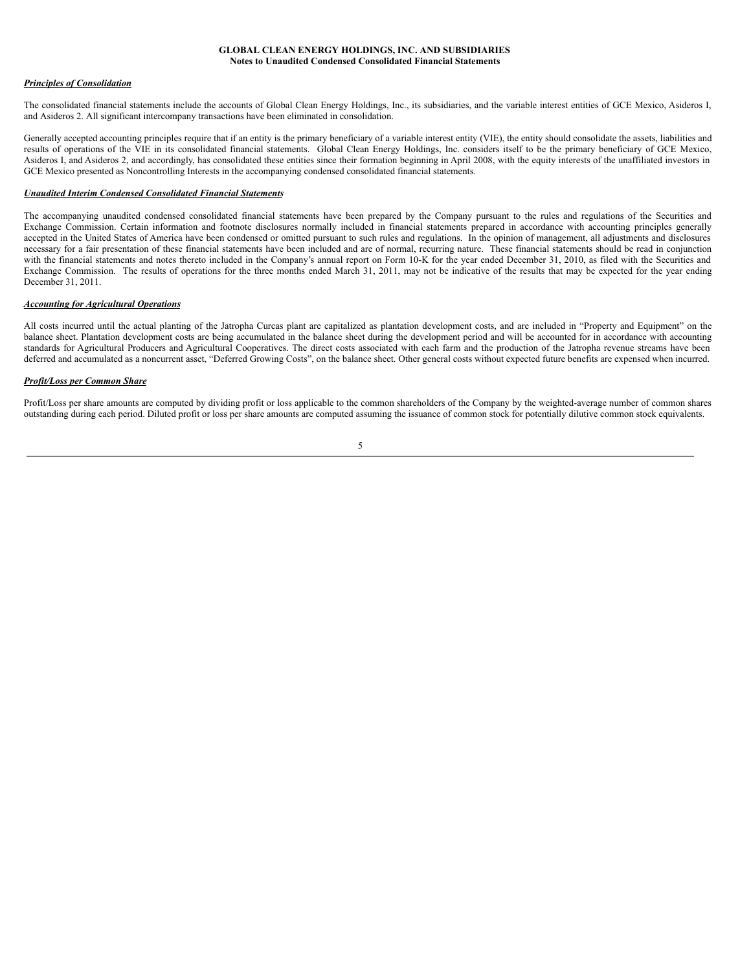#### *Principles of Consolidation*

The consolidated financial statements include the accounts of Global Clean Energy Holdings, Inc., its subsidiaries, and the variable interest entities of GCE Mexico, Asideros I, and Asideros 2. All significant intercompany transactions have been eliminated in consolidation.

Generally accepted accounting principles require that if an entity is the primary beneficiary of a variable interest entity (VIE), the entity should consolidate the assets, liabilities and results of operations of the VIE in its consolidated financial statements. Global Clean Energy Holdings, Inc. considers itself to be the primary beneficiary of GCE Mexico, Asideros I, and Asideros 2, and accordingly, has consolidated these entities since their formation beginning in April 2008, with the equity interests of the unaffiliated investors in GCE Mexico presented as Noncontrolling Interests in the accompanying condensed consolidated financial statements.

# *Unaudited Interim Condensed Consolidated Financial Statements*

The accompanying unaudited condensed consolidated financial statements have been prepared by the Company pursuant to the rules and regulations of the Securities and Exchange Commission. Certain information and footnote disclosures normally included in financial statements prepared in accordance with accounting principles generally accepted in the United States of America have been condensed or omitted pursuant to such rules and regulations. In the opinion of management, all adjustments and disclosures necessary for a fair presentation of these financial statements have been included and are of normal, recurring nature. These financial statements should be read in conjunction with the financial statements and notes thereto included in the Company's annual report on Form 10-K for the year ended December 31, 2010, as filed with the Securities and Exchange Commission. The results of operations for the three months ended March 31, 2011, may not be indicative of the results that may be expected for the year ending December 31, 2011.

# *Accounting for Agricultural Operations*

All costs incurred until the actual planting of the Jatropha Curcas plant are capitalized as plantation development costs, and are included in "Property and Equipment" on the balance sheet. Plantation development costs are being accumulated in the balance sheet during the development period and will be accounted for in accordance with accounting standards for Agricultural Producers and Agricultural Cooperatives. The direct costs associated with each farm and the production of the Jatropha revenue streams have been deferred and accumulated as a noncurrent asset, "Deferred Growing Costs", on the balance sheet. Other general costs without expected future benefits are expensed when incurred.

#### *Profit/Loss per Common Share*

Profit/Loss per share amounts are computed by dividing profit or loss applicable to the common shareholders of the Company by the weighted-average number of common shares outstanding during each period. Diluted profit or loss per share amounts are computed assuming the issuance of common stock for potentially dilutive common stock equivalents.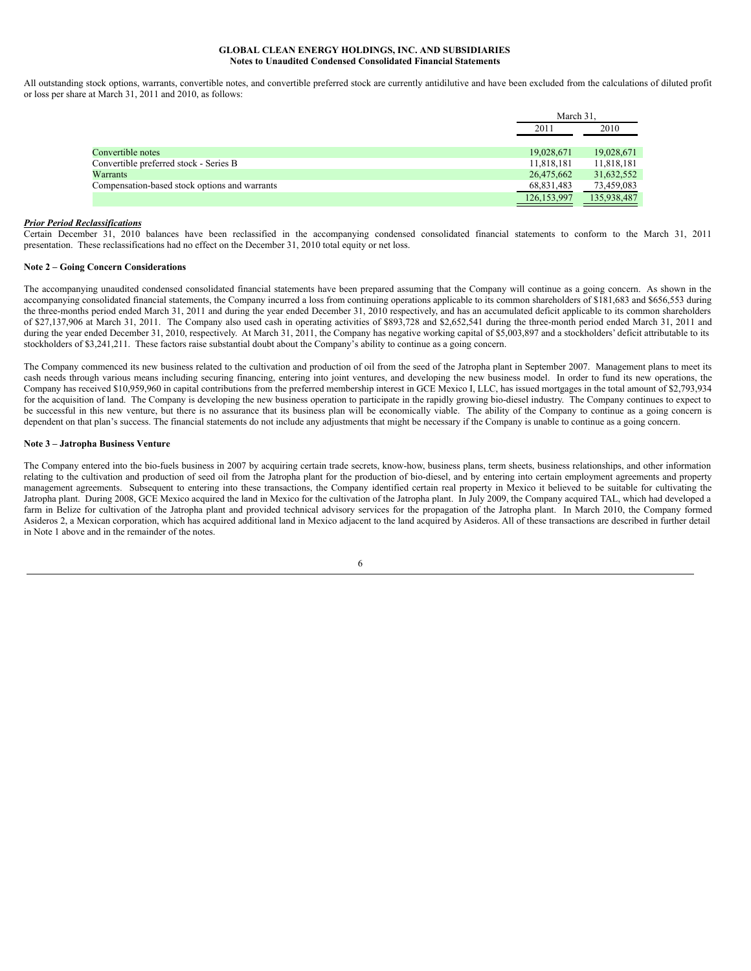All outstanding stock options, warrants, convertible notes, and convertible preferred stock are currently antidilutive and have been excluded from the calculations of diluted profit or loss per share at March 31, 2011 and 2010, as follows:

|                                               | March 31.     |             |  |
|-----------------------------------------------|---------------|-------------|--|
|                                               | 2011          | 2010        |  |
|                                               |               |             |  |
| Convertible notes                             | 19,028,671    | 19,028,671  |  |
| Convertible preferred stock - Series B        | 11,818,181    | 11,818,181  |  |
| Warrants                                      | 26,475,662    | 31,632,552  |  |
| Compensation-based stock options and warrants | 68,831,483    | 73,459,083  |  |
|                                               | 126, 153, 997 | 135,938,487 |  |

#### *Prior Period Reclassifications*

Certain December 31, 2010 balances have been reclassified in the accompanying condensed consolidated financial statements to conform to the March 31, 2011 presentation. These reclassifications had no effect on the December 31, 2010 total equity or net loss.

#### **Note 2 – Going Concern Considerations**

The accompanying unaudited condensed consolidated financial statements have been prepared assuming that the Company will continue as a going concern. As shown in the accompanying consolidated financial statements, the Company incurred a loss from continuing operations applicable to its common shareholders of \$181,683 and \$656,553 during the three-months period ended March 31, 2011 and during the year ended December 31, 2010 respectively, and has an accumulated deficit applicable to its common shareholders of \$27,137,906 at March 31, 2011. The Company also used cash in operating activities of \$893,728 and \$2,652,541 during the three-month period ended March 31, 2011 and during the year ended December 31, 2010, respectively. At March 31, 2011, the Company has negative working capital of \$5,003,897 and a stockholders' deficit attributable to its stockholders of \$3,241,211. These factors raise substantial doubt about the Company's ability to continue as a going concern.

The Company commenced its new business related to the cultivation and production of oil from the seed of the Jatropha plant in September 2007. Management plans to meet its cash needs through various means including securing financing, entering into joint ventures, and developing the new business model. In order to fund its new operations, the Company has received \$10,959,960 in capital contributions from the preferred membership interest in GCE Mexico I, LLC, has issued mortgages in the total amount of \$2,793,934 for the acquisition of land. The Company is developing the new business operation to participate in the rapidly growing bio-diesel industry. The Company continues to expect to be successful in this new venture, but there is no assurance that its business plan will be economically viable. The ability of the Company to continue as a going concern is dependent on that plan's success. The financial statements do not include any adjustments that might be necessary if the Company is unable to continue as a going concern.

#### **Note 3 – Jatropha Business Venture**

The Company entered into the bio-fuels business in 2007 by acquiring certain trade secrets, know-how, business plans, term sheets, business relationships, and other information relating to the cultivation and production of seed oil from the Jatropha plant for the production of bio-diesel, and by entering into certain employment agreements and property management agreements. Subsequent to entering into these transactions, the Company identified certain real property in Mexico it believed to be suitable for cultivating the Jatropha plant. During 2008, GCE Mexico acquired the land in Mexico for the cultivation of the Jatropha plant. In July 2009, the Company acquired TAL, which had developed a farm in Belize for cultivation of the Jatropha plant and provided technical advisory services for the propagation of the Jatropha plant. In March 2010, the Company formed Asideros 2, a Mexican corporation, which has acquired additional land in Mexico adjacent to the land acquired by Asideros. All of these transactions are described in further detail in Note 1 above and in the remainder of the notes.

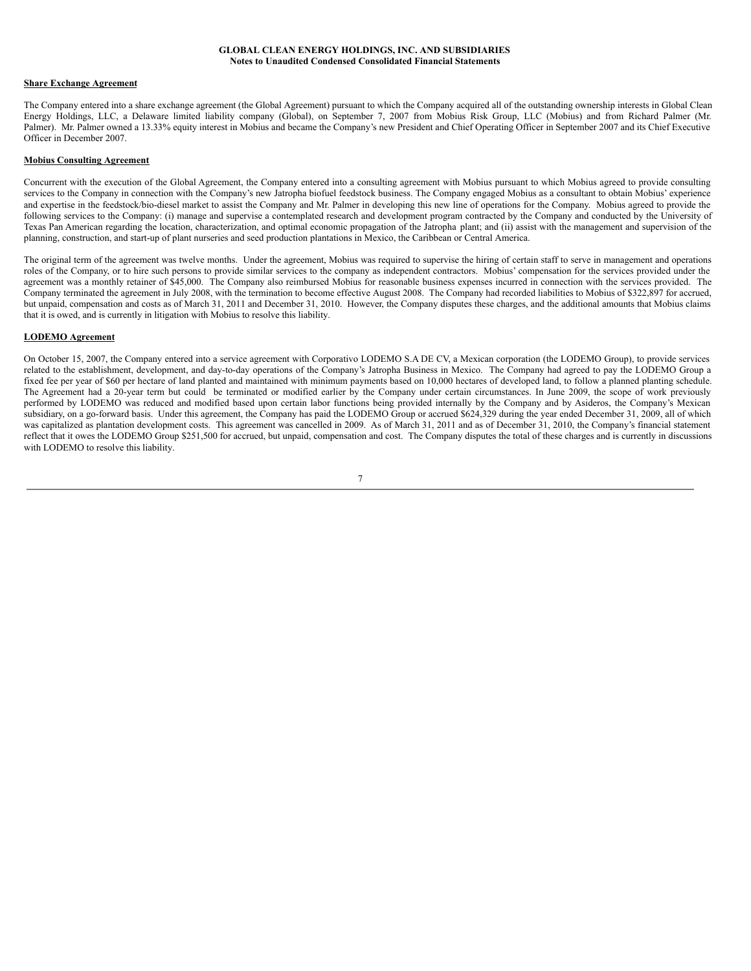#### **Share Exchange Agreement**

The Company entered into a share exchange agreement (the Global Agreement) pursuant to which the Company acquired all of the outstanding ownership interests in Global Clean Energy Holdings, LLC, a Delaware limited liability company (Global), on September 7, 2007 from Mobius Risk Group, LLC (Mobius) and from Richard Palmer (Mr. Palmer). Mr. Palmer owned a 13.33% equity interest in Mobius and became the Company's new President and Chief Operating Officer in September 2007 and its Chief Executive Officer in December 2007.

#### **Mobius Consulting Agreement**

Concurrent with the execution of the Global Agreement, the Company entered into a consulting agreement with Mobius pursuant to which Mobius agreed to provide consulting services to the Company in connection with the Company's new Jatropha biofuel feedstock business. The Company engaged Mobius as a consultant to obtain Mobius' experience and expertise in the feedstock/bio-diesel market to assist the Company and Mr. Palmer in developing this new line of operations for the Company. Mobius agreed to provide the following services to the Company: (i) manage and supervise a contemplated research and development program contracted by the Company and conducted by the University of Texas Pan American regarding the location, characterization, and optimal economic propagation of the Jatropha plant; and (ii) assist with the management and supervision of the planning, construction, and start-up of plant nurseries and seed production plantations in Mexico, the Caribbean or Central America.

The original term of the agreement was twelve months. Under the agreement, Mobius was required to supervise the hiring of certain staff to serve in management and operations roles of the Company, or to hire such persons to provide similar services to the company as independent contractors. Mobius' compensation for the services provided under the agreement was a monthly retainer of \$45,000. The Company also reimbursed Mobius for reasonable business expenses incurred in connection with the services provided. The Company terminated the agreement in July 2008, with the termination to become effective August 2008. The Company had recorded liabilities to Mobius of \$322,897 for accrued, but unpaid, compensation and costs as of March 31, 2011 and December 31, 2010. However, the Company disputes these charges, and the additional amounts that Mobius claims that it is owed, and is currently in litigation with Mobius to resolve this liability.

#### **LODEMO Agreement**

On October 15, 2007, the Company entered into a service agreement with Corporativo LODEMO S.A DE CV, a Mexican corporation (the LODEMO Group), to provide services related to the establishment, development, and day-to-day operations of the Company's Jatropha Business in Mexico. The Company had agreed to pay the LODEMO Group a fixed fee per year of \$60 per hectare of land planted and maintained with minimum payments based on 10,000 hectares of developed land, to follow a planned planting schedule. The Agreement had a 20-year term but could be terminated or modified earlier by the Company under certain circumstances. In June 2009, the scope of work previously performed by LODEMO was reduced and modified based upon certain labor functions being provided internally by the Company and by Asideros, the Company's Mexican subsidiary, on a go-forward basis. Under this agreement, the Company has paid the LODEMO Group or accrued \$624,329 during the year ended December 31, 2009, all of which was capitalized as plantation development costs. This agreement was cancelled in 2009. As of March 31, 2011 and as of December 31, 2010, the Company's financial statement reflect that it owes the LODEMO Group \$251,500 for accrued, but unpaid, compensation and cost. The Company disputes the total of these charges and is currently in discussions with LODEMO to resolve this liability.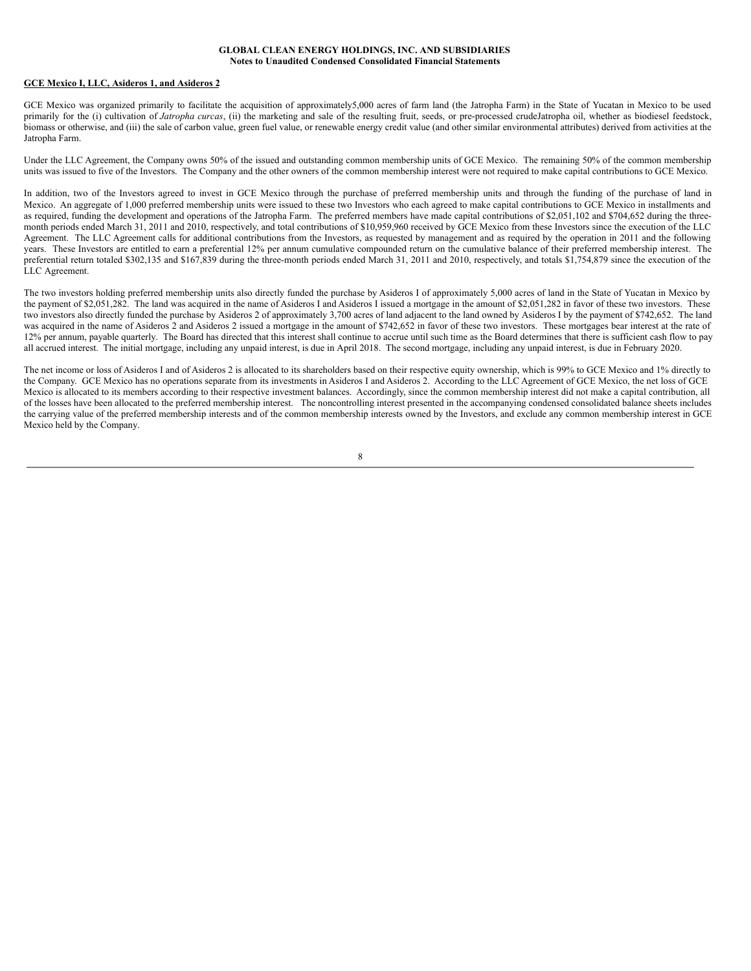#### **GCE Mexico I, LLC, Asideros 1, and Asideros 2**

GCE Mexico was organized primarily to facilitate the acquisition of approximately5,000 acres of farm land (the Jatropha Farm) in the State of Yucatan in Mexico to be used primarily for the (i) cultivation of *Jatropha curcas*, (ii) the marketing and sale of the resulting fruit, seeds, or pre-processed crudeJatropha oil, whether as biodiesel feedstock, biomass or otherwise, and (iii) the sale of carbon value, green fuel value, or renewable energy credit value (and other similar environmental attributes) derived from activities at the Jatropha Farm.

Under the LLC Agreement, the Company owns 50% of the issued and outstanding common membership units of GCE Mexico. The remaining 50% of the common membership units was issued to five of the Investors. The Company and the other owners of the common membership interest were not required to make capital contributions to GCE Mexico.

In addition, two of the Investors agreed to invest in GCE Mexico through the purchase of preferred membership units and through the funding of the purchase of land in Mexico. An aggregate of 1,000 preferred membership units were issued to these two Investors who each agreed to make capital contributions to GCE Mexico in installments and as required, funding the development and operations of the Jatropha Farm. The preferred members have made capital contributions of \$2,051,102 and \$704,652 during the threemonth periods ended March 31, 2011 and 2010, respectively, and total contributions of \$10,959,960 received by GCE Mexico from these Investors since the execution of the LLC Agreement. The LLC Agreement calls for additional contributions from the Investors, as requested by management and as required by the operation in 2011 and the following years. These Investors are entitled to earn a preferential 12% per annum cumulative compounded return on the cumulative balance of their preferred membership interest. The preferential return totaled \$302,135 and \$167,839 during the three-month periods ended March 31, 2011 and 2010, respectively, and totals \$1,754,879 since the execution of the LLC Agreement.

The two investors holding preferred membership units also directly funded the purchase by Asideros I of approximately 5,000 acres of land in the State of Yucatan in Mexico by the payment of \$2,051,282. The land was acquired in the name of Asideros I and Asideros I issued a mortgage in the amount of \$2,051,282 in favor of these two investors. These two investors also directly funded the purchase by Asideros 2 of approximately 3,700 acres of land adjacent to the land owned by Asideros I by the payment of \$742,652. The land was acquired in the name of Asideros 2 and Asideros 2 issued a mortgage in the amount of \$742,652 in favor of these two investors. These mortgages bear interest at the rate of 12% per annum, payable quarterly. The Board has directed that this interest shall continue to accrue until such time as the Board determines that there is sufficient cash flow to pay all accrued interest. The initial mortgage, including any unpaid interest, is due in April 2018. The second mortgage, including any unpaid interest, is due in February 2020.

The net income or loss of Asideros I and of Asideros 2 is allocated to its shareholders based on their respective equity ownership, which is 99% to GCE Mexico and 1% directly to the Company. GCE Mexico has no operations separate from its investments in Asideros I and Asideros 2. According to the LLC Agreement of GCE Mexico, the net loss of GCE Mexico is allocated to its members according to their respective investment balances. Accordingly, since the common membership interest did not make a capital contribution, all of the losses have been allocated to the preferred membership interest. The noncontrolling interest presented in the accompanying condensed consolidated balance sheets includes the carrying value of the preferred membership interests and of the common membership interests owned by the Investors, and exclude any common membership interest in GCE Mexico held by the Company.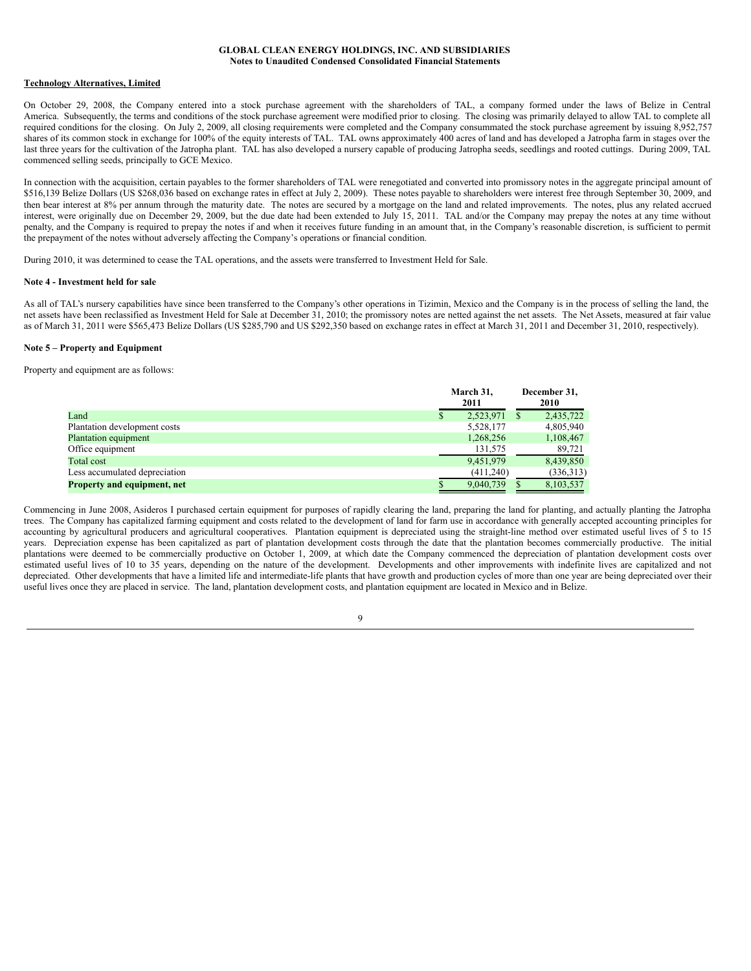#### **Technology Alternatives, Limited**

On October 29, 2008, the Company entered into a stock purchase agreement with the shareholders of TAL, a company formed under the laws of Belize in Central America. Subsequently, the terms and conditions of the stock purchase agreement were modified prior to closing. The closing was primarily delayed to allow TAL to complete all required conditions for the closing. On July 2, 2009, all closing requirements were completed and the Company consummated the stock purchase agreement by issuing 8,952,757 shares of its common stock in exchange for 100% of the equity interests of TAL. TAL owns approximately 400 acres of land and has developed a Jatropha farm in stages over the last three years for the cultivation of the Jatropha plant. TAL has also developed a nursery capable of producing Jatropha seeds, seedlings and rooted cuttings. During 2009, TAL commenced selling seeds, principally to GCE Mexico.

In connection with the acquisition, certain payables to the former shareholders of TAL were renegotiated and converted into promissory notes in the aggregate principal amount of \$516,139 Belize Dollars (US \$268,036 based on exchange rates in effect at July 2, 2009). These notes payable to shareholders were interest free through September 30, 2009, and then bear interest at 8% per annum through the maturity date. The notes are secured by a mortgage on the land and related improvements. The notes, plus any related accrued interest, were originally due on December 29, 2009, but the due date had been extended to July 15, 2011. TAL and/or the Company may prepay the notes at any time without penalty, and the Company is required to prepay the notes if and when it receives future funding in an amount that, in the Company's reasonable discretion, is sufficient to permit the prepayment of the notes without adversely affecting the Company's operations or financial condition.

During 2010, it was determined to cease the TAL operations, and the assets were transferred to Investment Held for Sale.

#### **Note 4 - Investment held for sale**

As all of TAL's nursery capabilities have since been transferred to the Company's other operations in Tizimin, Mexico and the Company is in the process of selling the land, the net assets have been reclassified as Investment Held for Sale at December 31, 2010; the promissory notes are netted against the net assets. The Net Assets, measured at fair value as of March 31, 2011 were \$565,473 Belize Dollars (US \$285,790 and US \$292,350 based on exchange rates in effect at March 31, 2011 and December 31, 2010, respectively).

#### **Note 5 – Property and Equipment**

Property and equipment are as follows:

|                                    | March 31.<br>2011 | December 31,<br>2010 |           |  |
|------------------------------------|-------------------|----------------------|-----------|--|
| Land                               | 2,523,971         | S                    | 2,435,722 |  |
| Plantation development costs       | 5,528,177         |                      | 4,805,940 |  |
| Plantation equipment               | 1,268,256         |                      | 1,108,467 |  |
| Office equipment                   | 131,575           |                      | 89,721    |  |
| Total cost                         | 9,451,979         |                      | 8,439,850 |  |
| Less accumulated depreciation      | (411,240)         |                      | (336,313) |  |
| <b>Property and equipment, net</b> | 9.040.739         |                      | 8,103,537 |  |

Commencing in June 2008, Asideros I purchased certain equipment for purposes of rapidly clearing the land, preparing the land for planting, and actually planting the Jatropha trees. The Company has capitalized farming equipment and costs related to the development of land for farm use in accordance with generally accepted accounting principles for accounting by agricultural producers and agricultural cooperatives. Plantation equipment is depreciated using the straight-line method over estimated useful lives of 5 to 15 years. Depreciation expense has been capitalized as part of plantation development costs through the date that the plantation becomes commercially productive. The initial plantations were deemed to be commercially productive on October 1, 2009, at which date the Company commenced the depreciation of plantation development costs over estimated useful lives of 10 to 35 years, depending on the nature of the development. Developments and other improvements with indefinite lives are capitalized and not depreciated. Other developments that have a limited life and intermediate-life plants that have growth and production cycles of more than one year are being depreciated over their useful lives once they are placed in service. The land, plantation development costs, and plantation equipment are located in Mexico and in Belize.

 $\overline{Q}$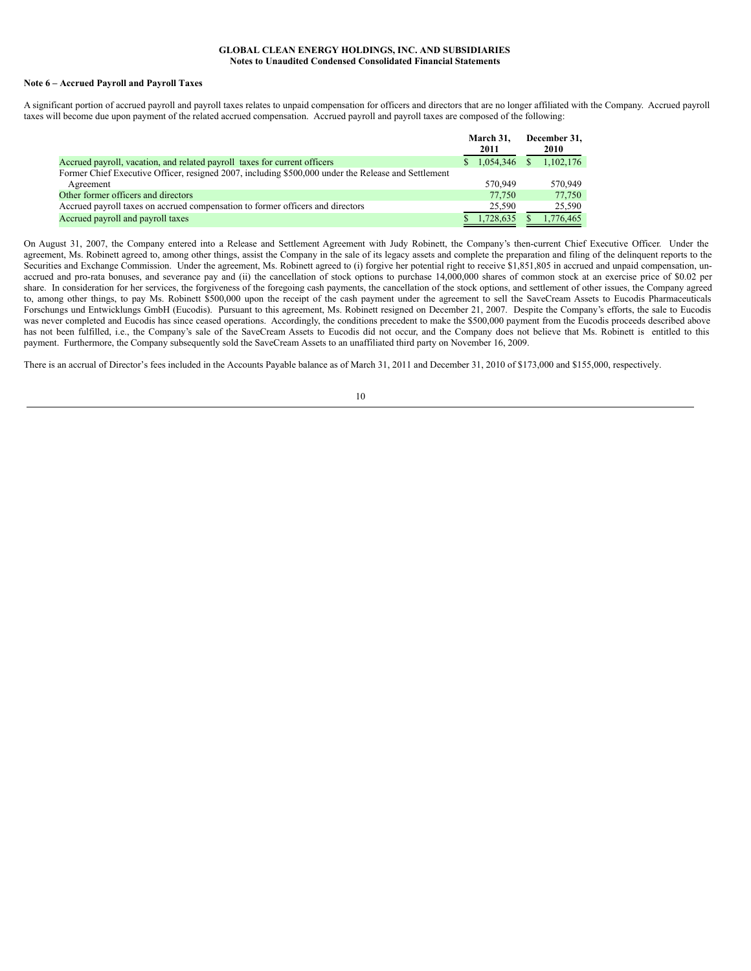#### **Note 6 – Accrued Payroll and Payroll Taxes**

A significant portion of accrued payroll and payroll taxes relates to unpaid compensation for officers and directors that are no longer affiliated with the Company. Accrued payroll taxes will become due upon payment of the related accrued compensation. Accrued payroll and payroll taxes are composed of the following:

|                                                                                                     | March 31.   |    | December 31, |
|-----------------------------------------------------------------------------------------------------|-------------|----|--------------|
|                                                                                                     | 2011        |    | 2010         |
| Accrued payroll, vacation, and related payroll taxes for current officers                           | \$1.054.346 | S. | 1,102,176    |
| Former Chief Executive Officer, resigned 2007, including \$500,000 under the Release and Settlement |             |    |              |
| Agreement                                                                                           | 570,949     |    | 570.949      |
| Other former officers and directors                                                                 | 77.750      |    | 77.750       |
| Accrued payroll taxes on accrued compensation to former officers and directors                      | 25.590      |    | 25,590       |
| Accrued payroll and payroll taxes                                                                   | 1.728.635   |    | 1.776.465    |

On August 31, 2007, the Company entered into a Release and Settlement Agreement with Judy Robinett, the Company's then-current Chief Executive Officer. Under the agreement, Ms. Robinett agreed to, among other things, assist the Company in the sale of its legacy assets and complete the preparation and filing of the delinquent reports to the Securities and Exchange Commission. Under the agreement, Ms. Robinett agreed to (i) forgive her potential right to receive \$1,851,805 in accrued and unpaid compensation, unaccrued and pro-rata bonuses, and severance pay and (ii) the cancellation of stock options to purchase 14,000,000 shares of common stock at an exercise price of \$0.02 per share. In consideration for her services, the forgiveness of the foregoing cash payments, the cancellation of the stock options, and settlement of other issues, the Company agreed to, among other things, to pay Ms. Robinett \$500,000 upon the receipt of the cash payment under the agreement to sell the SaveCream Assets to Eucodis Pharmaceuticals Forschungs und Entwicklungs GmbH (Eucodis). Pursuant to this agreement, Ms. Robinett resigned on December 21, 2007. Despite the Company's efforts, the sale to Eucodis was never completed and Eucodis has since ceased operations. Accordingly, the conditions precedent to make the \$500,000 payment from the Eucodis proceeds described above has not been fulfilled, i.e., the Company's sale of the SaveCream Assets to Eucodis did not occur, and the Company does not believe that Ms. Robinett is entitled to this payment. Furthermore, the Company subsequently sold the SaveCream Assets to an unaffiliated third party on November 16, 2009.

There is an accrual of Director's fees included in the Accounts Payable balance as of March 31, 2011 and December 31, 2010 of \$173,000 and \$155,000, respectively.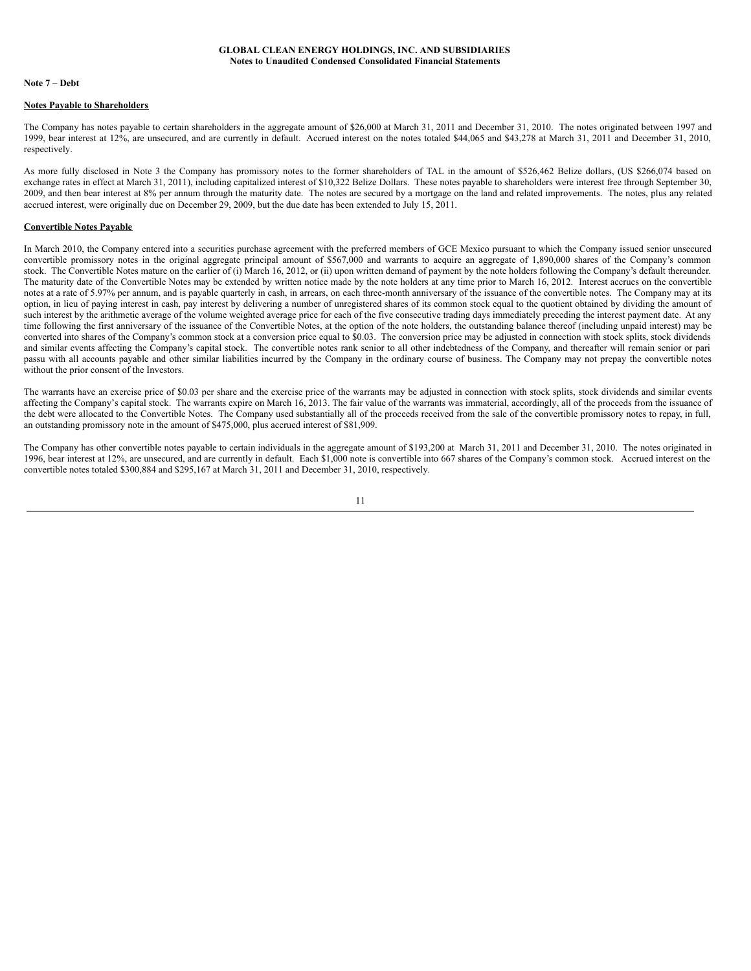#### **Note 7 – Debt**

#### **Notes Payable to Shareholders**

The Company has notes payable to certain shareholders in the aggregate amount of \$26,000 at March 31, 2011 and December 31, 2010. The notes originated between 1997 and 1999, bear interest at 12%, are unsecured, and are currently in default. Accrued interest on the notes totaled \$44,065 and \$43,278 at March 31, 2011 and December 31, 2010, respectively.

As more fully disclosed in Note 3 the Company has promissory notes to the former shareholders of TAL in the amount of \$526,462 Belize dollars, (US \$266,074 based on exchange rates in effect at March 31, 2011), including capitalized interest of \$10,322 Belize Dollars. These notes payable to shareholders were interest free through September 30, 2009, and then bear interest at 8% per annum through the maturity date. The notes are secured by a mortgage on the land and related improvements. The notes, plus any related accrued interest, were originally due on December 29, 2009, but the due date has been extended to July 15, 2011.

### **Convertible Notes Payable**

In March 2010, the Company entered into a securities purchase agreement with the preferred members of GCE Mexico pursuant to which the Company issued senior unsecured convertible promissory notes in the original aggregate principal amount of \$567,000 and warrants to acquire an aggregate of 1,890,000 shares of the Company's common stock. The Convertible Notes mature on the earlier of (i) March 16, 2012, or (ii) upon written demand of payment by the note holders following the Company's default thereunder. The maturity date of the Convertible Notes may be extended by written notice made by the note holders at any time prior to March 16, 2012. Interest accrues on the convertible notes at a rate of 5.97% per annum, and is payable quarterly in cash, in arrears, on each three-month anniversary of the issuance of the convertible notes. The Company may at its option, in lieu of paying interest in cash, pay interest by delivering a number of unregistered shares of its common stock equal to the quotient obtained by dividing the amount of such interest by the arithmetic average of the volume weighted average price for each of the five consecutive trading days immediately preceding the interest payment date. At any time following the first anniversary of the issuance of the Convertible Notes, at the option of the note holders, the outstanding balance thereof (including unpaid interest) may be converted into shares of the Company's common stock at a conversion price equal to \$0.03. The conversion price may be adjusted in connection with stock splits, stock dividends and similar events affecting the Company's capital stock. The convertible notes rank senior to all other indebtedness of the Company, and thereafter will remain senior or pari passu with all accounts payable and other similar liabilities incurred by the Company in the ordinary course of business. The Company may not prepay the convertible notes without the prior consent of the Investors.

The warrants have an exercise price of \$0.03 per share and the exercise price of the warrants may be adjusted in connection with stock splits, stock dividends and similar events affecting the Company's capital stock. The warrants expire on March 16, 2013. The fair value of the warrants was immaterial, accordingly, all of the proceeds from the issuance of the debt were allocated to the Convertible Notes. The Company used substantially all of the proceeds received from the sale of the convertible promissory notes to repay, in full, an outstanding promissory note in the amount of \$475,000, plus accrued interest of \$81,909.

The Company has other convertible notes payable to certain individuals in the aggregate amount of \$193,200 at March 31, 2011 and December 31, 2010. The notes originated in 1996, bear interest at 12%, are unsecured, and are currently in default. Each \$1,000 note is convertible into 667 shares of the Company's common stock. Accrued interest on the convertible notes totaled \$300,884 and \$295,167 at March 31, 2011 and December 31, 2010, respectively.

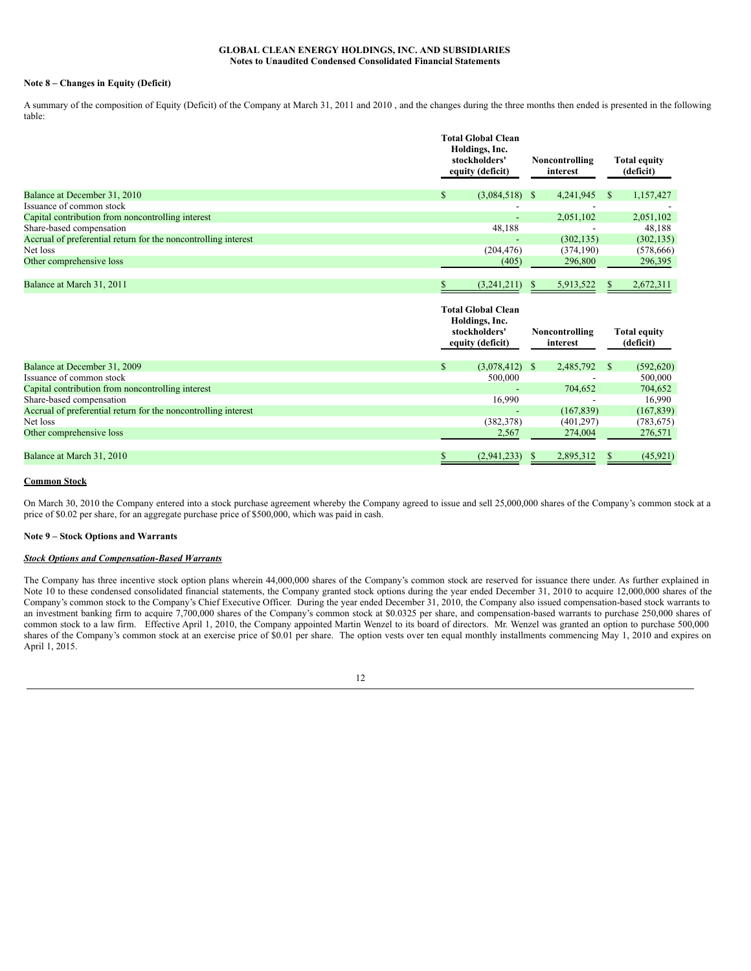#### **Note 8 – Changes in Equity (Deficit)**

A summary of the composition of Equity (Deficit) of the Company at March 31, 2011 and 2010 , and the changes during the three months then ended is presented in the following table:

|                                                                | <b>Total Global Clean</b><br>Holdings, Inc.<br>stockholders'<br>equity (deficit) | Noncontrolling<br>interest | <b>Total equity</b><br>(deficit) |  |
|----------------------------------------------------------------|----------------------------------------------------------------------------------|----------------------------|----------------------------------|--|
| Balance at December 31, 2010                                   | $(3,084,518)$ \$<br>\$                                                           | 4,241,945                  | 1,157,427<br>-S                  |  |
| Issuance of common stock                                       |                                                                                  |                            |                                  |  |
| Capital contribution from noncontrolling interest              | $\blacksquare$                                                                   | 2,051,102                  | 2,051,102                        |  |
| Share-based compensation                                       | 48,188                                                                           |                            | 48,188                           |  |
| Accrual of preferential return for the noncontrolling interest | $\overline{\phantom{0}}$                                                         | (302, 135)                 | (302, 135)                       |  |
| Net loss                                                       | (204, 476)                                                                       | (374, 190)                 | (578, 666)                       |  |
| Other comprehensive loss                                       | (405)                                                                            | 296,800                    | 296,395                          |  |
| Balance at March 31, 2011                                      | (3,241,211)                                                                      | 5,913,522<br>S.            | 2,672,311<br>S.                  |  |
|                                                                | <b>Total Global Clean</b><br>Holdings, Inc.<br>stockholders'<br>equity (deficit) | Noncontrolling<br>interest | <b>Total equity</b><br>(deficit) |  |
| Balance at December 31, 2009                                   | \$<br>$(3,078,412)$ \$                                                           | 2,485,792                  | (592, 620)                       |  |
| Issuance of common stock                                       | 500 000                                                                          |                            | 500 000                          |  |

| Balance at December 31, 2009                                   | (3.078, 412)     | 2,485,792                | (592, 620) |
|----------------------------------------------------------------|------------------|--------------------------|------------|
| Issuance of common stock                                       | 500,000          | -                        | 500,000    |
| Capital contribution from noncontrolling interest              | . .              | 704,652                  | 704,652    |
| Share-based compensation                                       | 16.990           | $\overline{\phantom{a}}$ | 16.990     |
| Accrual of preferential return for the noncontrolling interest | . .              | (167, 839)               | (167, 839) |
| Net loss                                                       | (382, 378)       | (401, 297)               | (783, 675) |
| Other comprehensive loss                                       | 2,567            | 274,004                  | 276,571    |
|                                                                |                  |                          |            |
| Balance at March 31, 2010                                      | $(2,941,233)$ \$ | 2,895,312                | (45, 921)  |

#### **Common Stock**

On March 30, 2010 the Company entered into a stock purchase agreement whereby the Company agreed to issue and sell 25,000,000 shares of the Company's common stock at a price of \$0.02 per share, for an aggregate purchase price of \$500,000, which was paid in cash.

#### **Note 9 – Stock Options and Warrants**

#### *Stock Options and Compensation-Based Warrants*

The Company has three incentive stock option plans wherein 44,000,000 shares of the Company's common stock are reserved for issuance there under. As further explained in Note 10 to these condensed consolidated financial statements, the Company granted stock options during the year ended December 31, 2010 to acquire 12,000,000 shares of the Company's common stock to the Company's Chief Executive Officer. During the year ended December 31, 2010, the Company also issued compensation-based stock warrants to an investment banking firm to acquire 7,700,000 shares of the Company's common stock at \$0.0325 per share, and compensation-based warrants to purchase 250,000 shares of common stock to a law firm. Effective April 1, 2010, the Company appointed Martin Wenzel to its board of directors. Mr. Wenzel was granted an option to purchase 500,000 shares of the Company's common stock at an exercise price of \$0.01 per share. The option vests over ten equal monthly installments commencing May 1, 2010 and expires on April 1, 2015.

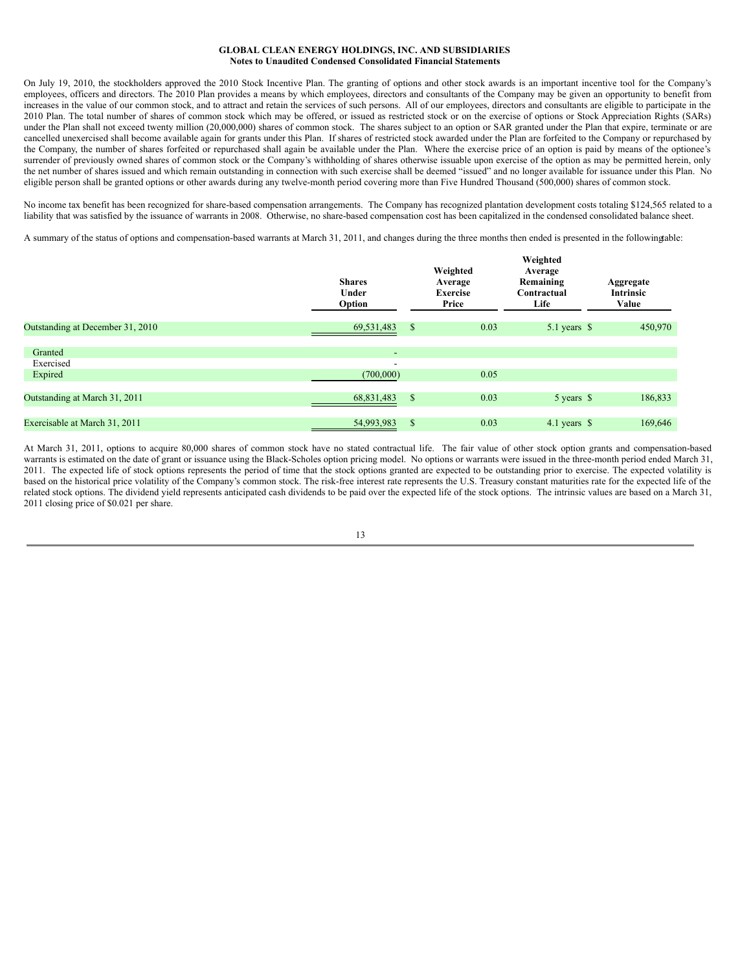On July 19, 2010, the stockholders approved the 2010 Stock Incentive Plan. The granting of options and other stock awards is an important incentive tool for the Company's employees, officers and directors. The 2010 Plan provides a means by which employees, directors and consultants of the Company may be given an opportunity to benefit from increases in the value of our common stock, and to attract and retain the services of such persons. All of our employees, directors and consultants are eligible to participate in the 2010 Plan. The total number of shares of common stock which may be offered, or issued as restricted stock or on the exercise of options or Stock Appreciation Rights (SARs) under the Plan shall not exceed twenty million (20,000,000) shares of common stock. The shares subject to an option or SAR granted under the Plan that expire, terminate or are cancelled unexercised shall become available again for grants under this Plan. If shares of restricted stock awarded under the Plan are forfeited to the Company or repurchased by the Company, the number of shares forfeited or repurchased shall again be available under the Plan. Where the exercise price of an option is paid by means of the optionee's surrender of previously owned shares of common stock or the Company's withholding of shares otherwise issuable upon exercise of the option as may be permitted herein, only the net number of shares issued and which remain outstanding in connection with such exercise shall be deemed "issued" and no longer available for issuance under this Plan. No eligible person shall be granted options or other awards during any twelve-month period covering more than Five Hundred Thousand (500,000) shares of common stock.

No income tax benefit has been recognized for share-based compensation arrangements. The Company has recognized plantation development costs totaling \$124,565 related to a liability that was satisfied by the issuance of warrants in 2008. Otherwise, no share-based compensation cost has been capitalized in the condensed consolidated balance sheet.

A summary of the status of options and compensation-based warrants at March 31, 2011, and changes during the three months then ended is presented in the followingtable:

|                                  | <b>Shares</b><br>Under<br>Option | Weighted<br>Average<br><b>Exercise</b><br>Price | Weighted<br>Average<br>Remaining<br>Contractual<br>Life | Aggregate<br>Intrinsic<br>Value |  |  |
|----------------------------------|----------------------------------|-------------------------------------------------|---------------------------------------------------------|---------------------------------|--|--|
| Outstanding at December 31, 2010 | 69,531,483                       | 0.03<br>$\mathbb{S}$                            | 5.1 years \$                                            | 450,970                         |  |  |
| Granted                          | ۰                                |                                                 |                                                         |                                 |  |  |
| Exercised                        | $\overline{\phantom{a}}$         |                                                 |                                                         |                                 |  |  |
| Expired                          | (700,000)                        | 0.05                                            |                                                         |                                 |  |  |
| Outstanding at March 31, 2011    | 68,831,483                       | 0.03<br>$\mathbb{S}$                            | 5 years \$                                              | 186,833                         |  |  |
|                                  |                                  |                                                 |                                                         |                                 |  |  |
| Exercisable at March 31, 2011    | 54,993,983                       | <sup>\$</sup><br>0.03                           | 4.1 years $$$                                           | 169,646                         |  |  |

At March 31, 2011, options to acquire 80,000 shares of common stock have no stated contractual life. The fair value of other stock option grants and compensation-based warrants is estimated on the date of grant or issuance using the Black-Scholes option pricing model. No options or warrants were issued in the three-month period ended March 31, 2011. The expected life of stock options represents the period of time that the stock options granted are expected to be outstanding prior to exercise. The expected volatility is based on the historical price volatility of the Company's common stock. The risk-free interest rate represents the U.S. Treasury constant maturities rate for the expected life of the related stock options. The dividend yield represents anticipated cash dividends to be paid over the expected life of the stock options. The intrinsic values are based on a March 31, 2011 closing price of \$0.021 per share.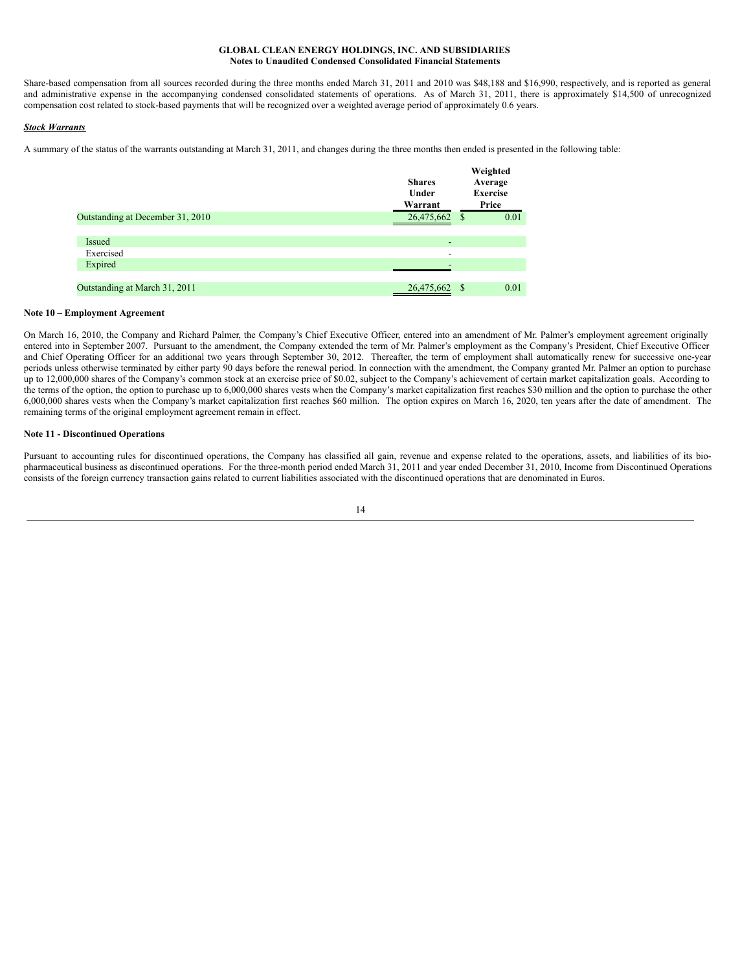Share-based compensation from all sources recorded during the three months ended March 31, 2011 and 2010 was \$48,188 and \$16,990, respectively, and is reported as general and administrative expense in the accompanying condensed consolidated statements of operations. As of March 31, 2011, there is approximately \$14,500 of unrecognized compensation cost related to stock-based payments that will be recognized over a weighted average period of approximately 0.6 years.

# *Stock Warrants*

A summary of the status of the warrants outstanding at March 31, 2011, and changes during the three months then ended is presented in the following table:

|                                  | <b>Shares</b><br>Under<br>Warrant | Weighted<br>Average<br><b>Exercise</b><br>Price |      |
|----------------------------------|-----------------------------------|-------------------------------------------------|------|
| Outstanding at December 31, 2010 | 26,475,662 \$                     |                                                 | 0.01 |
|                                  |                                   |                                                 |      |
| <b>Issued</b>                    | $\overline{\phantom{a}}$          |                                                 |      |
| Exercised                        | -                                 |                                                 |      |
| Expired                          |                                   |                                                 |      |
|                                  |                                   |                                                 |      |
| Outstanding at March 31, 2011    | 26,475,662                        | S                                               | 0.01 |

### **Note 10 – Employment Agreement**

On March 16, 2010, the Company and Richard Palmer, the Company's Chief Executive Officer, entered into an amendment of Mr. Palmer's employment agreement originally entered into in September 2007. Pursuant to the amendment, the Company extended the term of Mr. Palmer's employment as the Company's President, Chief Executive Officer and Chief Operating Officer for an additional two years through September 30, 2012. Thereafter, the term of employment shall automatically renew for successive one-year periods unless otherwise terminated by either party 90 days before the renewal period. In connection with the amendment, the Company granted Mr. Palmer an option to purchase up to 12,000,000 shares of the Company's common stock at an exercise price of \$0.02, subject to the Company's achievement of certain market capitalization goals. According to the terms of the option, the option to purchase up to 6,000,000 shares vests when the Company's market capitalization first reaches \$30 million and the option to purchase the other 6,000,000 shares vests when the Company's market capitalization first reaches \$60 million. The option expires on March 16, 2020, ten years after the date of amendment. The remaining terms of the original employment agreement remain in effect.

#### **Note 11 - Discontinued Operations**

Pursuant to accounting rules for discontinued operations, the Company has classified all gain, revenue and expense related to the operations, assets, and liabilities of its biopharmaceutical business as discontinued operations. For the three-month period ended March 31, 2011 and year ended December 31, 2010, Income from Discontinued Operations consists of the foreign currency transaction gains related to current liabilities associated with the discontinued operations that are denominated in Euros.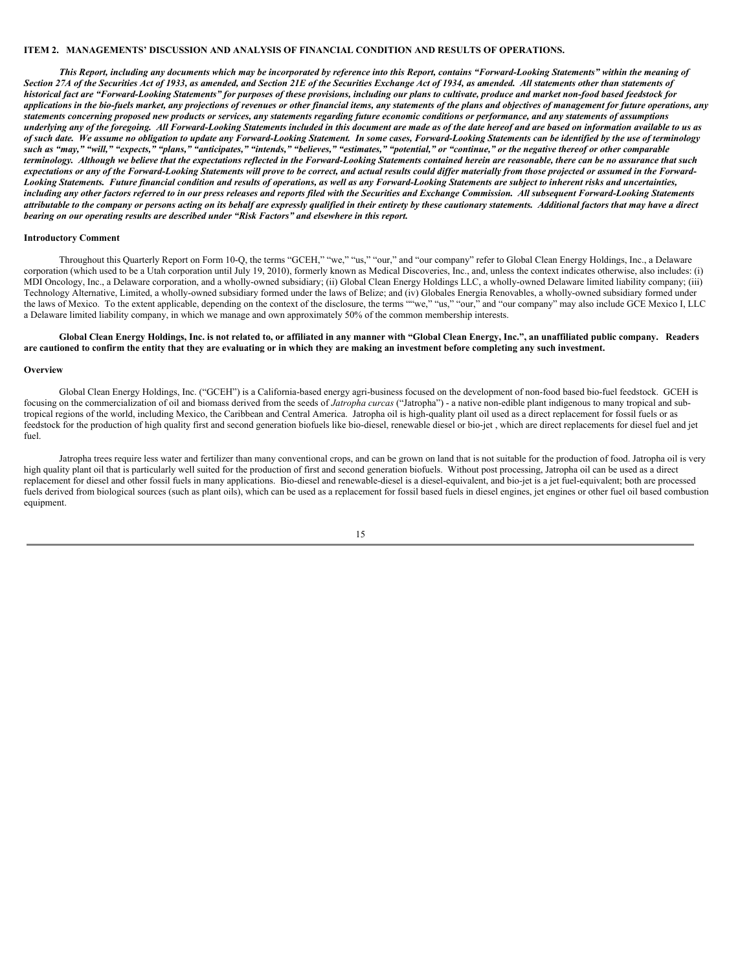#### **ITEM 2. MANAGEMENTS' DISCUSSION AND ANALYSIS OF FINANCIAL CONDITION AND RESULTS OF OPERATIONS.**

This Report, including any documents which may be incorporated by reference into this Report, contains "Forward-Looking Statements" within the meaning of Section 27A of the Securities Act of 1933, as amended, and Section 21E of the Securities Exchange Act of 1934, as amended. All statements other than statements of historical fact are "Forward-Looking Statements" for purposes of these provisions, including our plans to cultivate, produce and market non-food based feedstock for applications in the bio-fuels market, any projections of revenues or other financial items, any statements of the plans and objectives of management for future operations, any statements concerning proposed new products or services, any statements regarding future economic conditions or performance, and any statements of assumptions underlying any of the foregoing. All Forward-Looking Statements included in this document are made as of the date hereof and are based on information available to us as of such date. We assume no obligation to update any Forward-Looking Statement. In some cases, Forward-Looking Statements can be identified by the use of terminology such as "may," "will," "expects," "plans," "anticipates," "intends," "believes," "estimates," "potential," or "continue," or the negative thereof or other comparable terminology. Although we believe that the expectations reflected in the Forward-Looking Statements contained herein are reasonable, there can be no assurance that such expectations or any of the Forward-Looking Statements will prove to be correct, and actual results could differ materially from those projected or assumed in the Forward-Looking Statements. Future financial condition and results of operations, as well as any Forward-Looking Statements are subject to inherent risks and uncertainties, including any other factors referred to in our press releases and reports filed with the Securities and Exchange Commission. All subsequent Forward-Looking Statements attributable to the company or persons acting on its behalf are expressly qualified in their entirety by these cautionary statements. Additional factors that may have a direct *bearing on our operating results are described under "Risk Factors" and elsewhere in this report.*

#### **Introductory Comment**

Throughout this Quarterly Report on Form 10-Q, the terms "GCEH," "we," "us," "our," and "our company" refer to Global Clean Energy Holdings, Inc., a Delaware corporation (which used to be a Utah corporation until July 19, 2010), formerly known as Medical Discoveries, Inc., and, unless the context indicates otherwise, also includes: (i) MDI Oncology, Inc., a Delaware corporation, and a wholly-owned subsidiary; (ii) Global Clean Energy Holdings LLC, a wholly-owned Delaware limited liability company; (iii) Technology Alternative, Limited, a wholly-owned subsidiary formed under the laws of Belize; and (iv) Globales Energia Renovables, a wholly-owned subsidiary formed under the laws of Mexico. To the extent applicable, depending on the context of the disclosure, the terms ""we," "us," "our," and "our company" may also include GCE Mexico I, LLC a Delaware limited liability company, in which we manage and own approximately 50% of the common membership interests.

# Global Clean Energy Holdings, Inc. is not related to, or affiliated in any manner with "Global Clean Energy, Inc.", an unaffiliated public company. Readers are cautioned to confirm the entity that they are evaluating or in which they are making an investment before completing any such investment.

#### **Overview**

Global Clean Energy Holdings, Inc. ("GCEH") is a California-based energy agri-business focused on the development of non-food based bio-fuel feedstock. GCEH is focusing on the commercialization of oil and biomass derived from the seeds of *Jatropha curcas* ("Jatropha") - a native non-edible plant indigenous to many tropical and subtropical regions of the world, including Mexico, the Caribbean and Central America. Jatropha oil is high-quality plant oil used as a direct replacement for fossil fuels or as feedstock for the production of high quality first and second generation biofuels like bio-diesel, renewable diesel or bio-jet , which are direct replacements for diesel fuel and jet fuel.

Jatropha trees require less water and fertilizer than many conventional crops, and can be grown on land that is not suitable for the production of food. Jatropha oil is very high quality plant oil that is particularly well suited for the production of first and second generation biofuels. Without post processing, Jatropha oil can be used as a direct replacement for diesel and other fossil fuels in many applications. Bio-diesel and renewable-diesel is a diesel-equivalent, and bio-jet is a jet fuel-equivalent; both are processed fuels derived from biological sources (such as plant oils), which can be used as a replacement for fossil based fuels in diesel engines, jet engines or other fuel oil based combustion equipment.

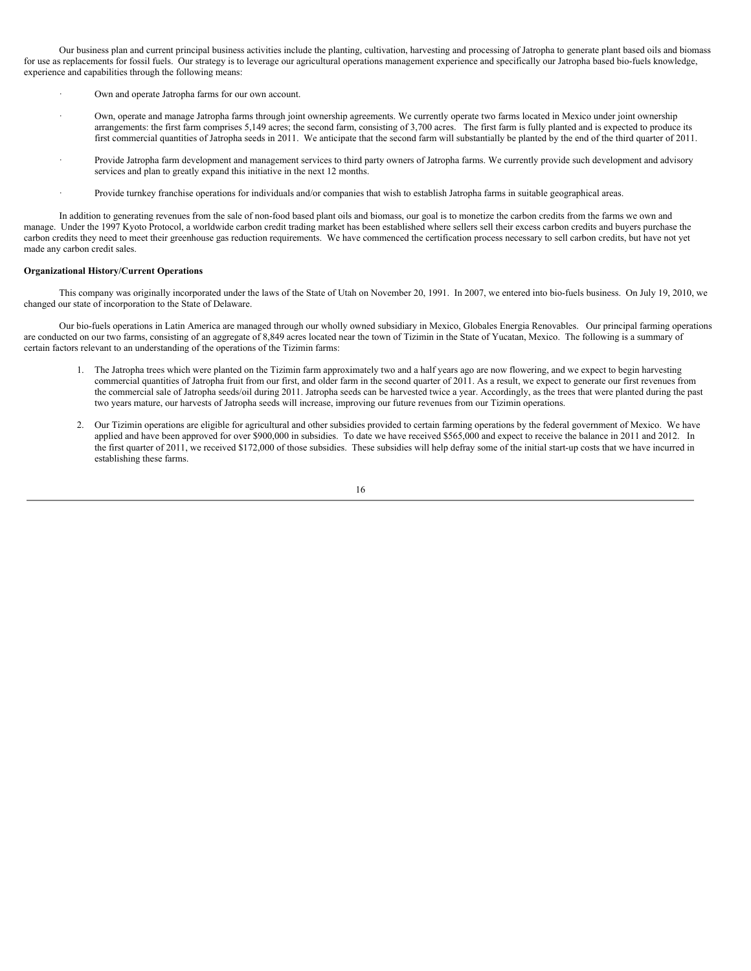Our business plan and current principal business activities include the planting, cultivation, harvesting and processing of Jatropha to generate plant based oils and biomass for use as replacements for fossil fuels. Our strategy is to leverage our agricultural operations management experience and specifically our Jatropha based bio-fuels knowledge, experience and capabilities through the following means:

- Own and operate Jatropha farms for our own account.
- · Own, operate and manage Jatropha farms through joint ownership agreements. We currently operate two farms located in Mexico under joint ownership arrangements: the first farm comprises 5,149 acres; the second farm, consisting of 3,700 acres. The first farm is fully planted and is expected to produce its first commercial quantities of Jatropha seeds in 2011. We anticipate that the second farm will substantially be planted by the end of the third quarter of 2011.
- Provide Jatropha farm development and management services to third party owners of Jatropha farms. We currently provide such development and advisory services and plan to greatly expand this initiative in the next 12 months.
- · Provide turnkey franchise operations for individuals and/or companies that wish to establish Jatropha farms in suitable geographical areas.

In addition to generating revenues from the sale of non-food based plant oils and biomass, our goal is to monetize the carbon credits from the farms we own and manage. Under the 1997 Kyoto Protocol, a worldwide carbon credit trading market has been established where sellers sell their excess carbon credits and buyers purchase the carbon credits they need to meet their greenhouse gas reduction requirements. We have commenced the certification process necessary to sell carbon credits, but have not yet made any carbon credit sales.

#### **Organizational History/Current Operations**

This company was originally incorporated under the laws of the State of Utah on November 20, 1991. In 2007, we entered into bio-fuels business. On July 19, 2010, we changed our state of incorporation to the State of Delaware.

Our bio-fuels operations in Latin America are managed through our wholly owned subsidiary in Mexico, Globales Energia Renovables. Our principal farming operations are conducted on our two farms, consisting of an aggregate of 8,849 acres located near the town of Tizimin in the State of Yucatan, Mexico. The following is a summary of certain factors relevant to an understanding of the operations of the Tizimin farms:

- 1. The Jatropha trees which were planted on the Tizimin farm approximately two and a half years ago are now flowering, and we expect to begin harvesting commercial quantities of Jatropha fruit from our first, and older farm in the second quarter of 2011. As a result, we expect to generate our first revenues from the commercial sale of Jatropha seeds/oil during 2011. Jatropha seeds can be harvested twice a year. Accordingly, as the trees that were planted during the past two years mature, our harvests of Jatropha seeds will increase, improving our future revenues from our Tizimin operations.
- 2. Our Tizimin operations are eligible for agricultural and other subsidies provided to certain farming operations by the federal government of Mexico. We have applied and have been approved for over \$900,000 in subsidies. To date we have received \$565,000 and expect to receive the balance in 2011 and 2012. In the first quarter of 2011, we received \$172,000 of those subsidies. These subsidies will help defray some of the initial start-up costs that we have incurred in establishing these farms.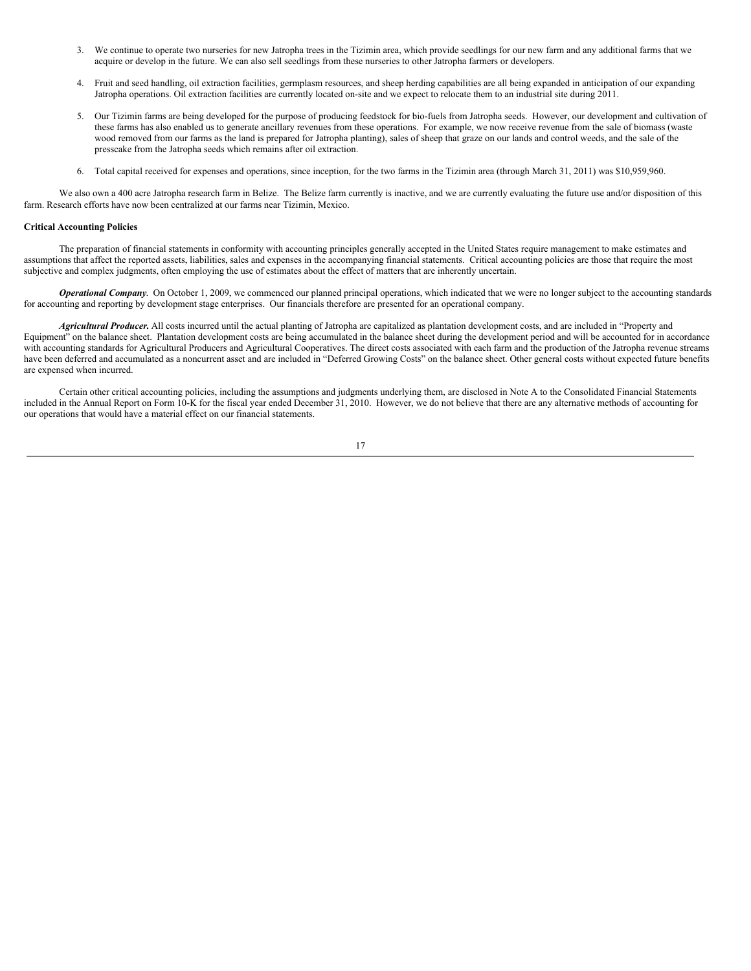- 3. We continue to operate two nurseries for new Jatropha trees in the Tizimin area, which provide seedlings for our new farm and any additional farms that we acquire or develop in the future. We can also sell seedlings from these nurseries to other Jatropha farmers or developers.
- 4. Fruit and seed handling, oil extraction facilities, germplasm resources, and sheep herding capabilities are all being expanded in anticipation of our expanding Jatropha operations. Oil extraction facilities are currently located on-site and we expect to relocate them to an industrial site during 2011.
- 5. Our Tizimin farms are being developed for the purpose of producing feedstock for bio-fuels from Jatropha seeds. However, our development and cultivation of these farms has also enabled us to generate ancillary revenues from these operations. For example, we now receive revenue from the sale of biomass (waste wood removed from our farms as the land is prepared for Jatropha planting), sales of sheep that graze on our lands and control weeds, and the sale of the presscake from the Jatropha seeds which remains after oil extraction.
- 6. Total capital received for expenses and operations, since inception, for the two farms in the Tizimin area (through March 31, 2011) was \$10,959,960.

We also own a 400 acre Jatropha research farm in Belize. The Belize farm currently is inactive, and we are currently evaluating the future use and/or disposition of this farm. Research efforts have now been centralized at our farms near Tizimin, Mexico.

## **Critical Accounting Policies**

The preparation of financial statements in conformity with accounting principles generally accepted in the United States require management to make estimates and assumptions that affect the reported assets, liabilities, sales and expenses in the accompanying financial statements. Critical accounting policies are those that require the most subjective and complex judgments, often employing the use of estimates about the effect of matters that are inherently uncertain.

*Operational Company*. On October 1, 2009, we commenced our planned principal operations, which indicated that we were no longer subject to the accounting standards for accounting and reporting by development stage enterprises. Our financials therefore are presented for an operational company.

*Agricultural Producer.* All costs incurred until the actual planting of Jatropha are capitalized as plantation development costs, and are included in "Property and Equipment" on the balance sheet. Plantation development costs are being accumulated in the balance sheet during the development period and will be accounted for in accordance with accounting standards for Agricultural Producers and Agricultural Cooperatives. The direct costs associated with each farm and the production of the Jatropha revenue streams have been deferred and accumulated as a noncurrent asset and are included in "Deferred Growing Costs" on the balance sheet. Other general costs without expected future benefits are expensed when incurred.

Certain other critical accounting policies, including the assumptions and judgments underlying them, are disclosed in Note A to the Consolidated Financial Statements included in the Annual Report on Form 10-K for the fiscal year ended December 31, 2010. However, we do not believe that there are any alternative methods of accounting for our operations that would have a material effect on our financial statements.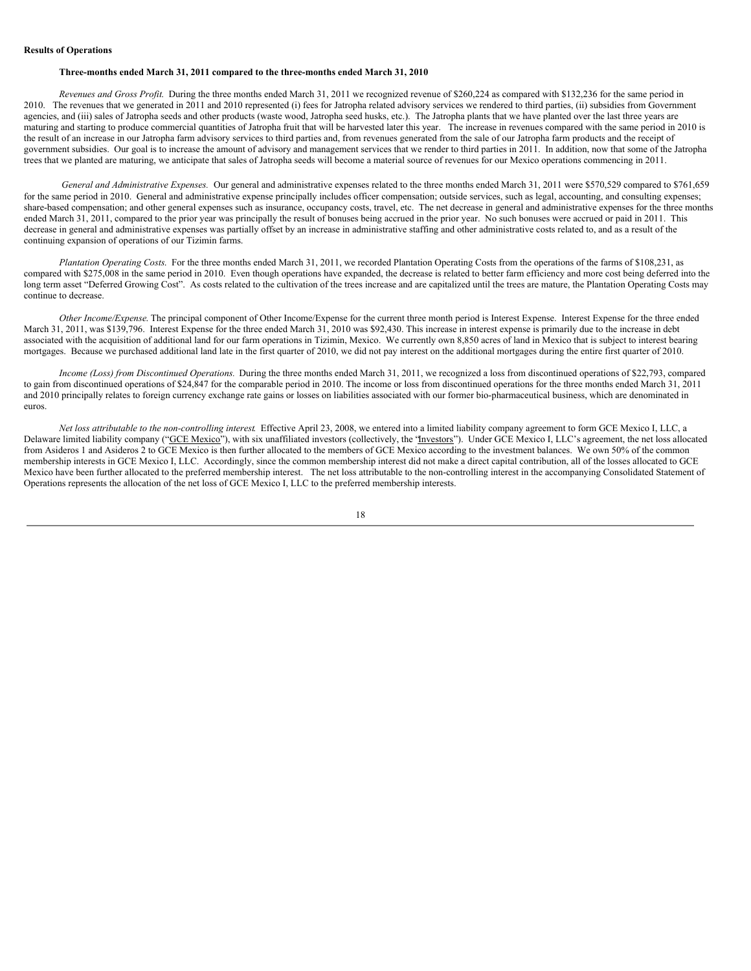#### **Three-months ended March 31, 2011 compared to the three-months ended March 31, 2010**

*Revenues and Gross Profit*. During the three months ended March 31, 2011 we recognized revenue of \$260,224 as compared with \$132,236 for the same period in 2010. The revenues that we generated in 2011 and 2010 represented (i) fees for Jatropha related advisory services we rendered to third parties, (ii) subsidies from Government agencies, and (iii) sales of Jatropha seeds and other products (waste wood, Jatropha seed husks, etc.). The Jatropha plants that we have planted over the last three years are maturing and starting to produce commercial quantities of Jatropha fruit that will be harvested later this year. The increase in revenues compared with the same period in 2010 is the result of an increase in our Jatropha farm advisory services to third parties and, from revenues generated from the sale of our Jatropha farm products and the receipt of government subsidies. Our goal is to increase the amount of advisory and management services that we render to third parties in 2011. In addition, now that some of the Jatropha trees that we planted are maturing, we anticipate that sales of Jatropha seeds will become a material source of revenues for our Mexico operations commencing in 2011.

*General and Administrative Expenses.* Our general and administrative expenses related to the three months ended March 31, 2011 were \$570,529 compared to \$761,659 for the same period in 2010. General and administrative expense principally includes officer compensation; outside services, such as legal, accounting, and consulting expenses; share-based compensation; and other general expenses such as insurance, occupancy costs, travel, etc. The net decrease in general and administrative expenses for the three months ended March 31, 2011, compared to the prior year was principally the result of bonuses being accrued in the prior year. No such bonuses were accrued or paid in 2011. This decrease in general and administrative expenses was partially offset by an increase in administrative staffing and other administrative costs related to, and as a result of the continuing expansion of operations of our Tizimin farms.

*Plantation Operating Costs*. For the three months ended March 31, 2011, we recorded Plantation Operating Costs from the operations of the farms of \$108,231, as compared with \$275,008 in the same period in 2010. Even though operations have expanded, the decrease is related to better farm efficiency and more cost being deferred into the long term asset "Deferred Growing Cost". As costs related to the cultivation of the trees increase and are capitalized until the trees are mature, the Plantation Operating Costs may continue to decrease.

*Other Income/Expense*. The principal component of Other Income/Expense for the current three month period is Interest Expense. Interest Expense for the three ended March 31, 2011, was \$139,796. Interest Expense for the three ended March 31, 2010 was \$92,430. This increase in interest expense is primarily due to the increase in debt associated with the acquisition of additional land for our farm operations in Tizimin, Mexico. We currently own 8,850 acres of land in Mexico that is subject to interest bearing mortgages. Because we purchased additional land late in the first quarter of 2010, we did not pay interest on the additional mortgages during the entire first quarter of 2010.

*Income (Loss) from Discontinued Operations.* During the three months ended March 31, 2011, we recognized a loss from discontinued operations of \$22,793, compared to gain from discontinued operations of \$24,847 for the comparable period in 2010. The income or loss from discontinued operations for the three months ended March 31, 2011 and 2010 principally relates to foreign currency exchange rate gains or losses on liabilities associated with our former bio-pharmaceutical business, which are denominated in euros.

*Net loss attributable to the non-controlling interest*. Effective April 23, 2008, we entered into a limited liability company agreement to form GCE Mexico I, LLC, a Delaware limited liability company ("GCE Mexico"), with six unaffiliated investors (collectively, the 'Investors"). Under GCE Mexico I, LLC's agreement, the net loss allocated from Asideros 1 and Asideros 2 to GCE Mexico is then further allocated to the members of GCE Mexico according to the investment balances. We own 50% of the common membership interests in GCE Mexico I, LLC. Accordingly, since the common membership interest did not make a direct capital contribution, all of the losses allocated to GCE Mexico have been further allocated to the preferred membership interest. The net loss attributable to the non-controlling interest in the accompanying Consolidated Statement of Operations represents the allocation of the net loss of GCE Mexico I, LLC to the preferred membership interests.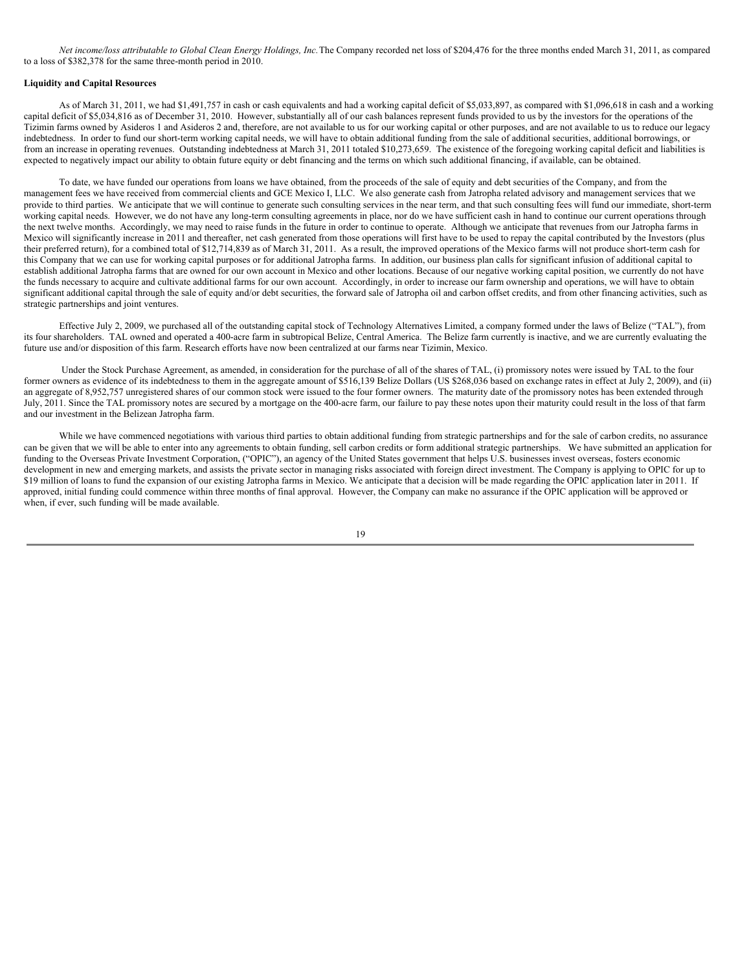Net income/loss attributable to Global Clean Energy Holdings, Inc. The Company recorded net loss of \$204,476 for the three months ended March 31, 2011, as compared to a loss of \$382,378 for the same three-month period in 2010.

#### **Liquidity and Capital Resources**

As of March 31, 2011, we had \$1,491,757 in cash or cash equivalents and had a working capital deficit of \$5,033,897, as compared with \$1,096,618 in cash and a working capital deficit of \$5,034,816 as of December 31, 2010. However, substantially all of our cash balances represent funds provided to us by the investors for the operations of the Tizimin farms owned by Asideros 1 and Asideros 2 and, therefore, are not available to us for our working capital or other purposes, and are not available to us to reduce our legacy indebtedness. In order to fund our short-term working capital needs, we will have to obtain additional funding from the sale of additional securities, additional borrowings, or from an increase in operating revenues. Outstanding indebtedness at March 31, 2011 totaled \$10,273,659. The existence of the foregoing working capital deficit and liabilities is expected to negatively impact our ability to obtain future equity or debt financing and the terms on which such additional financing, if available, can be obtained.

To date, we have funded our operations from loans we have obtained, from the proceeds of the sale of equity and debt securities of the Company, and from the management fees we have received from commercial clients and GCE Mexico I, LLC. We also generate cash from Jatropha related advisory and management services that we provide to third parties. We anticipate that we will continue to generate such consulting services in the near term, and that such consulting fees will fund our immediate, short-term working capital needs. However, we do not have any long-term consulting agreements in place, nor do we have sufficient cash in hand to continue our current operations through the next twelve months. Accordingly, we may need to raise funds in the future in order to continue to operate. Although we anticipate that revenues from our Jatropha farms in Mexico will significantly increase in 2011 and thereafter, net cash generated from those operations will first have to be used to repay the capital contributed by the Investors (plus their preferred return), for a combined total of \$12,714,839 as of March 31, 2011. As a result, the improved operations of the Mexico farms will not produce short-term cash for this Company that we can use for working capital purposes or for additional Jatropha farms. In addition, our business plan calls for significant infusion of additional capital to establish additional Jatropha farms that are owned for our own account in Mexico and other locations. Because of our negative working capital position, we currently do not have the funds necessary to acquire and cultivate additional farms for our own account. Accordingly, in order to increase our farm ownership and operations, we will have to obtain significant additional capital through the sale of equity and/or debt securities, the forward sale of Jatropha oil and carbon offset credits, and from other financing activities, such as strategic partnerships and joint ventures.

Effective July 2, 2009, we purchased all of the outstanding capital stock of Technology Alternatives Limited, a company formed under the laws of Belize ("TAL"), from its four shareholders. TAL owned and operated a 400-acre farm in subtropical Belize, Central America. The Belize farm currently is inactive, and we are currently evaluating the future use and/or disposition of this farm. Research efforts have now been centralized at our farms near Tizimin, Mexico.

Under the Stock Purchase Agreement, as amended, in consideration for the purchase of all of the shares of TAL, (i) promissory notes were issued by TAL to the four former owners as evidence of its indebtedness to them in the aggregate amount of \$516,139 Belize Dollars (US \$268,036 based on exchange rates in effect at July 2, 2009), and (ii) an aggregate of 8,952,757 unregistered shares of our common stock were issued to the four former owners. The maturity date of the promissory notes has been extended through July, 2011. Since the TAL promissory notes are secured by a mortgage on the 400-acre farm, our failure to pay these notes upon their maturity could result in the loss of that farm and our investment in the Belizean Jatropha farm.

While we have commenced negotiations with various third parties to obtain additional funding from strategic partnerships and for the sale of carbon credits, no assurance can be given that we will be able to enter into any agreements to obtain funding, sell carbon credits or form additional strategic partnerships. We have submitted an application for funding to the Overseas Private Investment Corporation, ("OPIC"), an agency of the United States government that helps U.S. businesses invest overseas, fosters economic development in new and emerging markets, and assists the private sector in managing risks associated with foreign direct investment. The Company is applying to OPIC for up to \$19 million of loans to fund the expansion of our existing Jatropha farms in Mexico. We anticipate that a decision will be made regarding the OPIC application later in 2011. If approved, initial funding could commence within three months of final approval. However, the Company can make no assurance if the OPIC application will be approved or when, if ever, such funding will be made available.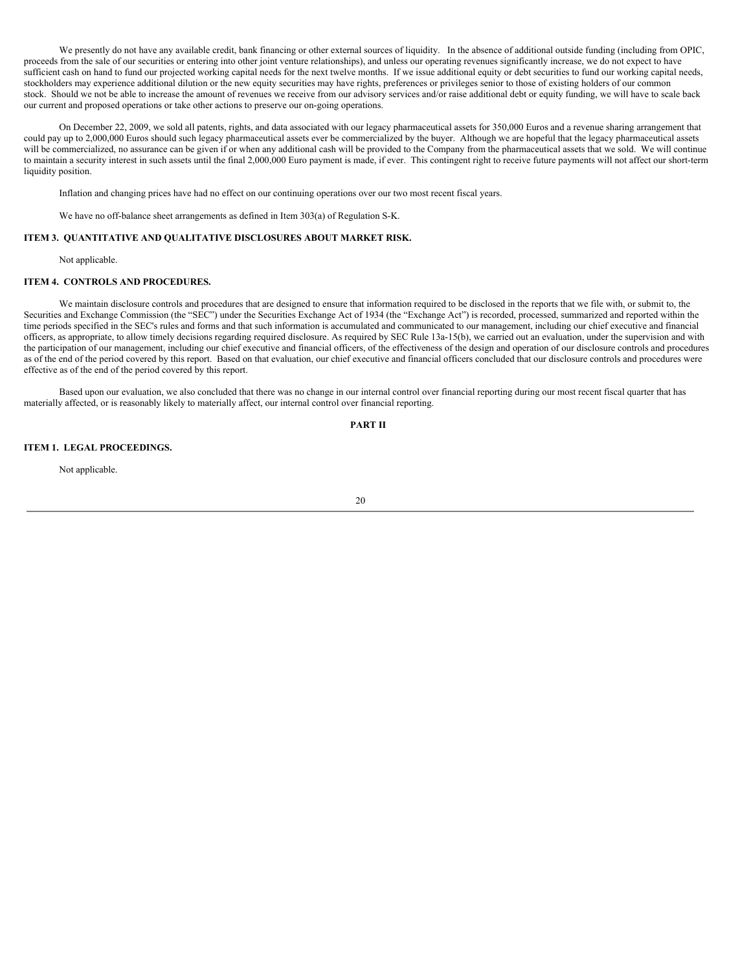We presently do not have any available credit, bank financing or other external sources of liquidity. In the absence of additional outside funding (including from OPIC, proceeds from the sale of our securities or entering into other joint venture relationships), and unless our operating revenues significantly increase, we do not expect to have sufficient cash on hand to fund our projected working capital needs for the next twelve months. If we issue additional equity or debt securities to fund our working capital needs, stockholders may experience additional dilution or the new equity securities may have rights, preferences or privileges senior to those of existing holders of our common stock. Should we not be able to increase the amount of revenues we receive from our advisory services and/or raise additional debt or equity funding, we will have to scale back our current and proposed operations or take other actions to preserve our on-going operations.

On December 22, 2009, we sold all patents, rights, and data associated with our legacy pharmaceutical assets for 350,000 Euros and a revenue sharing arrangement that could pay up to 2,000,000 Euros should such legacy pharmaceutical assets ever be commercialized by the buyer. Although we are hopeful that the legacy pharmaceutical assets will be commercialized, no assurance can be given if or when any additional cash will be provided to the Company from the pharmaceutical assets that we sold. We will continue to maintain a security interest in such assets until the final 2,000,000 Euro payment is made, if ever. This contingent right to receive future payments will not affect our short-term liquidity position.

Inflation and changing prices have had no effect on our continuing operations over our two most recent fiscal years.

We have no off-balance sheet arrangements as defined in Item 303(a) of Regulation S-K.

## **ITEM 3. QUANTITATIVE AND QUALITATIVE DISCLOSURES ABOUT MARKET RISK.**

Not applicable.

# **ITEM 4. CONTROLS AND PROCEDURES.**

We maintain disclosure controls and procedures that are designed to ensure that information required to be disclosed in the reports that we file with, or submit to, the Securities and Exchange Commission (the "SEC") under the Securities Exchange Act of 1934 (the "Exchange Act") is recorded, processed, summarized and reported within the time periods specified in the SEC's rules and forms and that such information is accumulated and communicated to our management, including our chief executive and financial officers, as appropriate, to allow timely decisions regarding required disclosure. As required by SEC Rule 13a-15(b), we carried out an evaluation, under the supervision and with the participation of our management, including our chief executive and financial officers, of the effectiveness of the design and operation of our disclosure controls and procedures as of the end of the period covered by this report. Based on that evaluation, our chief executive and financial officers concluded that our disclosure controls and procedures were effective as of the end of the period covered by this report.

Based upon our evaluation, we also concluded that there was no change in our internal control over financial reporting during our most recent fiscal quarter that has materially affected, or is reasonably likely to materially affect, our internal control over financial reporting.

**PART II**

#### **ITEM 1. LEGAL PROCEEDINGS.**

Not applicable.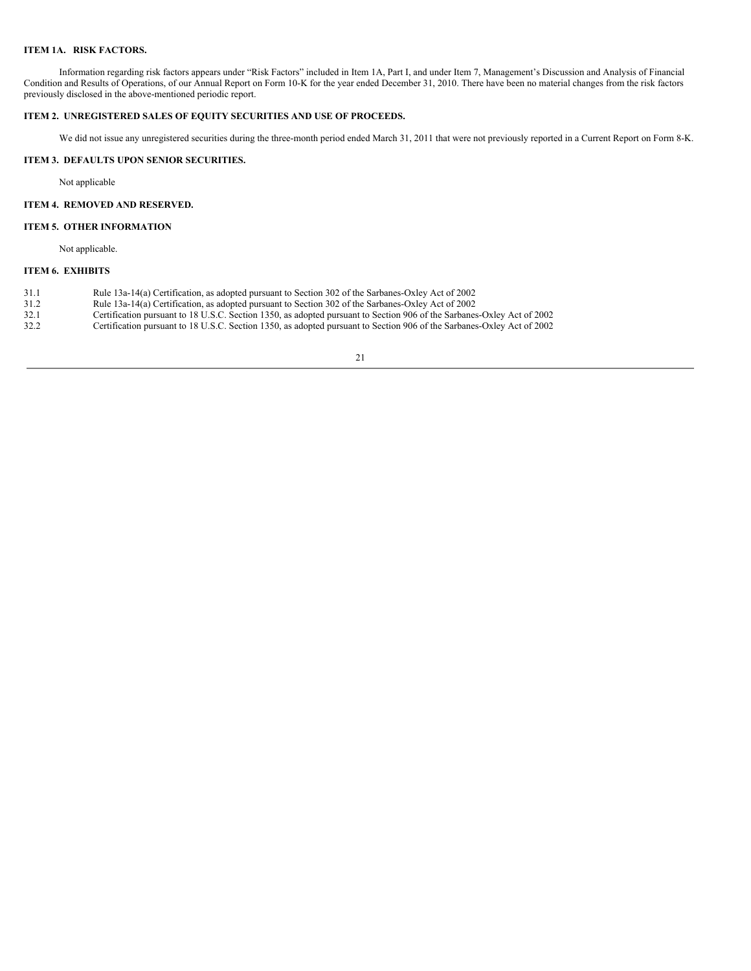# **ITEM 1A. RISK FACTORS.**

Information regarding risk factors appears under "Risk Factors" included in Item 1A, Part I, and under Item 7, Management's Discussion and Analysis of Financial Condition and Results of Operations, of our Annual Report on Form 10-K for the year ended December 31, 2010. There have been no material changes from the risk factors previously disclosed in the above-mentioned periodic report.

# **ITEM 2. UNREGISTERED SALES OF EQUITY SECURITIES AND USE OF PROCEEDS.**

We did not issue any unregistered securities during the three-month period ended March 31, 2011 that were not previously reported in a Current Report on Form 8-K.

# **ITEM 3. DEFAULTS UPON SENIOR SECURITIES.**

Not applicable

# **ITEM 4. REMOVED AND RESERVED.**

## **ITEM 5. OTHER INFORMATION**

Not applicable.

# **ITEM 6. EXHIBITS**

- 31.1 Rule 13a-14(a) Certification, as adopted pursuant to Section 302 of the Sarbanes-Oxley Act of 2002
- 31.2 Rule 13a-14(a) Certification, as adopted pursuant to Section 302 of the Sarbanes-Oxley Act of 2002
- 32.1 Certification pursuant to 18 U.S.C. Section 1350, as adopted pursuant to Section 906 of the Sarbanes-Oxley Act of 2002<br>32.2 Certification pursuant to 18 U.S.C. Section 1350, as adopted pursuant to Section 906 of the S
- 32.2 Certification pursuant to 18 U.S.C. Section 1350, as adopted pursuant to Section 906 of the Sarbanes-Oxley Act of 2002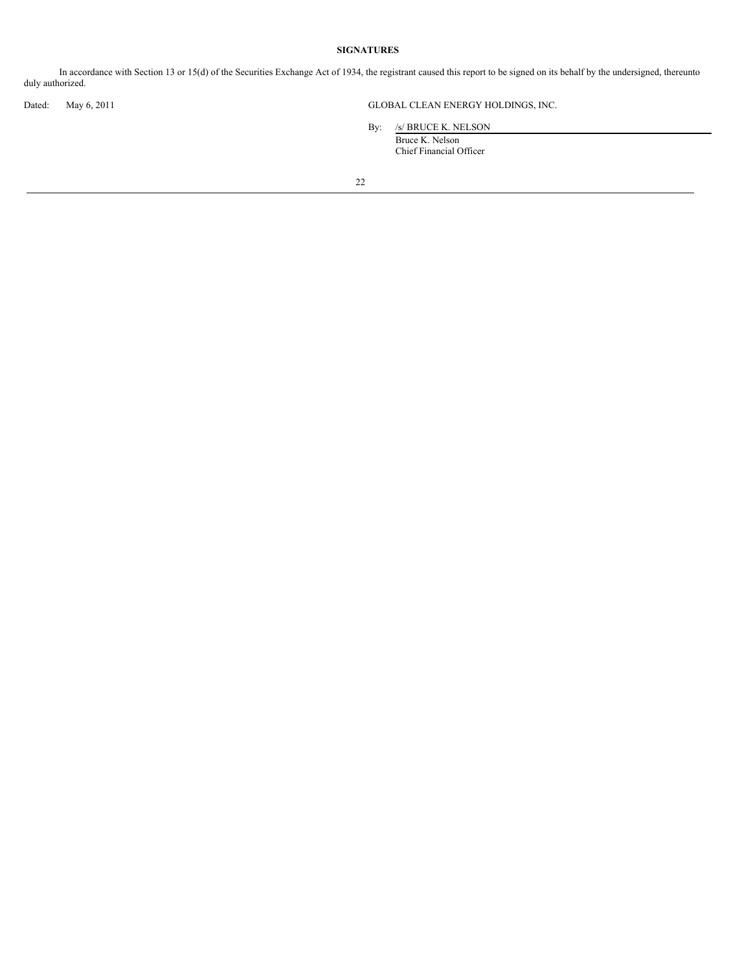# **SIGNATURES**

In accordance with Section 13 or 15(d) of the Securities Exchange Act of 1934, the registrant caused this report to be signed on its behalf by the undersigned, thereunto duly authorized.

Dated: May 6, 2011 GLOBAL CLEAN ENERGY HOLDINGS, INC.

By: /s/ BRUCE K. NELSON

Bruce K. Nelson Chief Financial Officer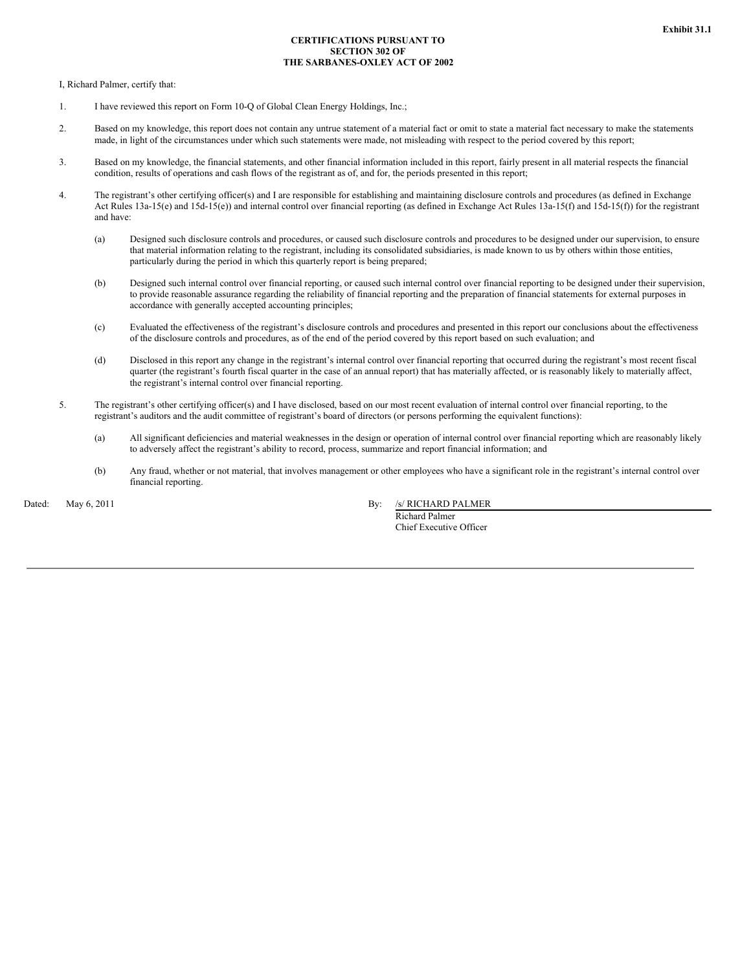# **CERTIFICATIONS PURSUANT TO SECTION 302 OF THE SARBANES-OXLEY ACT OF 2002**

I, Richard Palmer, certify that:

- 1. I have reviewed this report on Form 10-Q of Global Clean Energy Holdings, Inc.;
- 2. Based on my knowledge, this report does not contain any untrue statement of a material fact or omit to state a material fact necessary to make the statements made, in light of the circumstances under which such statements were made, not misleading with respect to the period covered by this report;
- 3. Based on my knowledge, the financial statements, and other financial information included in this report, fairly present in all material respects the financial condition, results of operations and cash flows of the registrant as of, and for, the periods presented in this report;
- 4. The registrant's other certifying officer(s) and I are responsible for establishing and maintaining disclosure controls and procedures (as defined in Exchange Act Rules 13a-15(e) and 15d-15(e)) and internal control over financial reporting (as defined in Exchange Act Rules 13a-15(f) and 15d-15(f)) for the registrant and have:
	- (a) Designed such disclosure controls and procedures, or caused such disclosure controls and procedures to be designed under our supervision, to ensure that material information relating to the registrant, including its consolidated subsidiaries, is made known to us by others within those entities, particularly during the period in which this quarterly report is being prepared;
	- (b) Designed such internal control over financial reporting, or caused such internal control over financial reporting to be designed under their supervision, to provide reasonable assurance regarding the reliability of financial reporting and the preparation of financial statements for external purposes in accordance with generally accepted accounting principles;
	- (c) Evaluated the effectiveness of the registrant's disclosure controls and procedures and presented in this report our conclusions about the effectiveness of the disclosure controls and procedures, as of the end of the period covered by this report based on such evaluation; and
	- (d) Disclosed in this report any change in the registrant's internal control over financial reporting that occurred during the registrant's most recent fiscal quarter (the registrant's fourth fiscal quarter in the case of an annual report) that has materially affected, or is reasonably likely to materially affect, the registrant's internal control over financial reporting.
- 5. The registrant's other certifying officer(s) and I have disclosed, based on our most recent evaluation of internal control over financial reporting, to the registrant's auditors and the audit committee of registrant's board of directors (or persons performing the equivalent functions):
	- (a) All significant deficiencies and material weaknesses in the design or operation of internal control over financial reporting which are reasonably likely to adversely affect the registrant's ability to record, process, summarize and report financial information; and
	- (b) Any fraud, whether or not material, that involves management or other employees who have a significant role in the registrant's internal control over financial reporting.

Dated: May 6, 2011 By: /s/ RICHARD PALMER

Richard Palmer Chief Executive Officer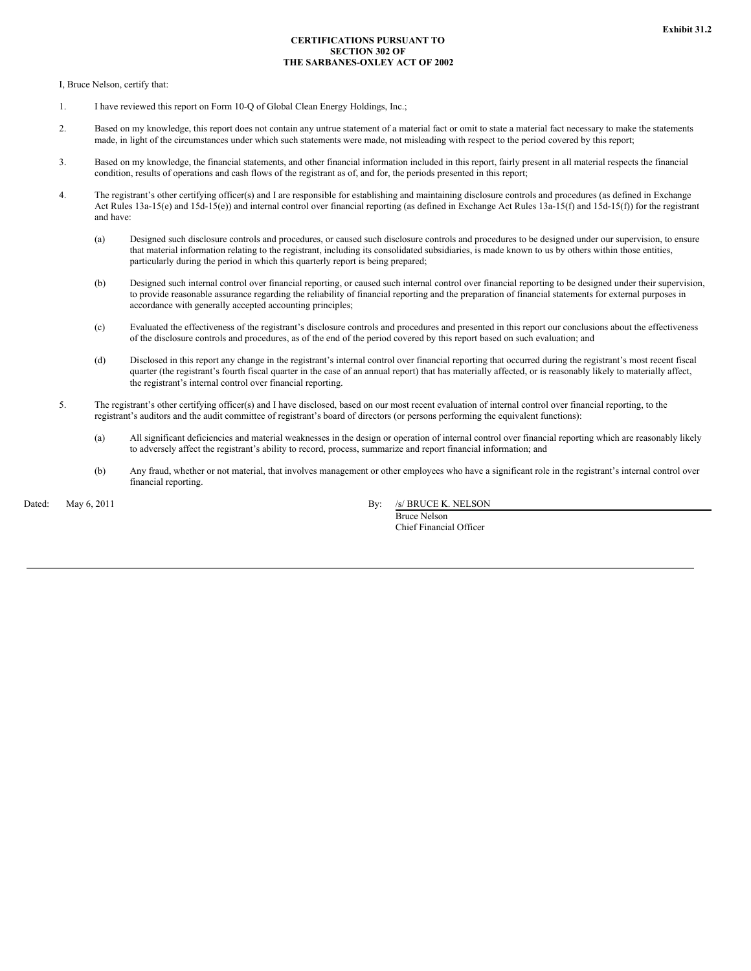# **CERTIFICATIONS PURSUANT TO SECTION 302 OF THE SARBANES-OXLEY ACT OF 2002**

I, Bruce Nelson, certify that:

- 1. I have reviewed this report on Form 10-Q of Global Clean Energy Holdings, Inc.;
- 2. Based on my knowledge, this report does not contain any untrue statement of a material fact or omit to state a material fact necessary to make the statements made, in light of the circumstances under which such statements were made, not misleading with respect to the period covered by this report;
- 3. Based on my knowledge, the financial statements, and other financial information included in this report, fairly present in all material respects the financial condition, results of operations and cash flows of the registrant as of, and for, the periods presented in this report;
- 4. The registrant's other certifying officer(s) and I are responsible for establishing and maintaining disclosure controls and procedures (as defined in Exchange Act Rules 13a-15(e) and 15d-15(e)) and internal control over financial reporting (as defined in Exchange Act Rules 13a-15(f) and 15d-15(f)) for the registrant and have:
	- (a) Designed such disclosure controls and procedures, or caused such disclosure controls and procedures to be designed under our supervision, to ensure that material information relating to the registrant, including its consolidated subsidiaries, is made known to us by others within those entities, particularly during the period in which this quarterly report is being prepared;
	- (b) Designed such internal control over financial reporting, or caused such internal control over financial reporting to be designed under their supervision, to provide reasonable assurance regarding the reliability of financial reporting and the preparation of financial statements for external purposes in accordance with generally accepted accounting principles;
	- (c) Evaluated the effectiveness of the registrant's disclosure controls and procedures and presented in this report our conclusions about the effectiveness of the disclosure controls and procedures, as of the end of the period covered by this report based on such evaluation; and
	- (d) Disclosed in this report any change in the registrant's internal control over financial reporting that occurred during the registrant's most recent fiscal quarter (the registrant's fourth fiscal quarter in the case of an annual report) that has materially affected, or is reasonably likely to materially affect, the registrant's internal control over financial reporting.
- 5. The registrant's other certifying officer(s) and I have disclosed, based on our most recent evaluation of internal control over financial reporting, to the registrant's auditors and the audit committee of registrant's board of directors (or persons performing the equivalent functions):
	- (a) All significant deficiencies and material weaknesses in the design or operation of internal control over financial reporting which are reasonably likely to adversely affect the registrant's ability to record, process, summarize and report financial information; and
	- (b) Any fraud, whether or not material, that involves management or other employees who have a significant role in the registrant's internal control over financial reporting.

Dated: May 6, 2011 By: /s/ BRUCE K. NELSON Bruce Nelson

Chief Financial Officer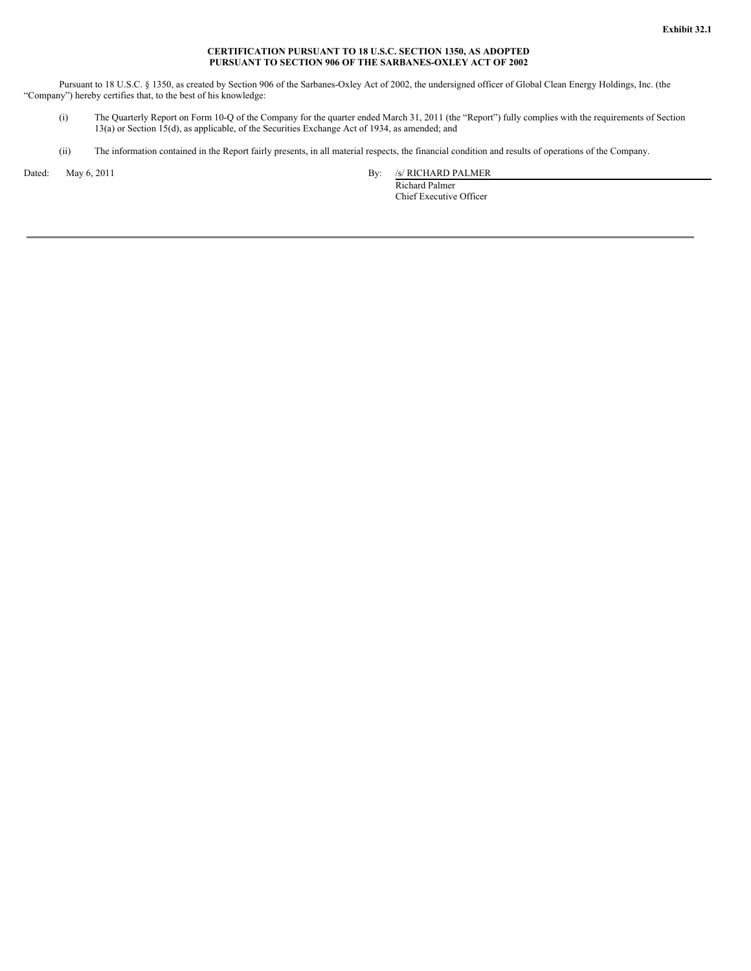#### **CERTIFICATION PURSUANT TO 18 U.S.C. SECTION 1350, AS ADOPTED PURSUANT TO SECTION 906 OF THE SARBANES-OXLEY ACT OF 2002**

Pursuant to 18 U.S.C. § 1350, as created by Section 906 of the Sarbanes-Oxley Act of 2002, the undersigned officer of Global Clean Energy Holdings, Inc. (the "Company") hereby certifies that, to the best of his knowledge:

- (i) The Quarterly Report on Form 10-Q of the Company for the quarter ended March 31, 2011 (the "Report") fully complies with the requirements of Section 13(a) or Section 15(d), as applicable, of the Securities Exchange Act of 1934, as amended; and
- (ii) The information contained in the Report fairly presents, in all material respects, the financial condition and results of operations of the Company.

Dated: May 6, 2011 By: /s/ RICHARD PALMER

Richard Palmer Chief Executive Officer